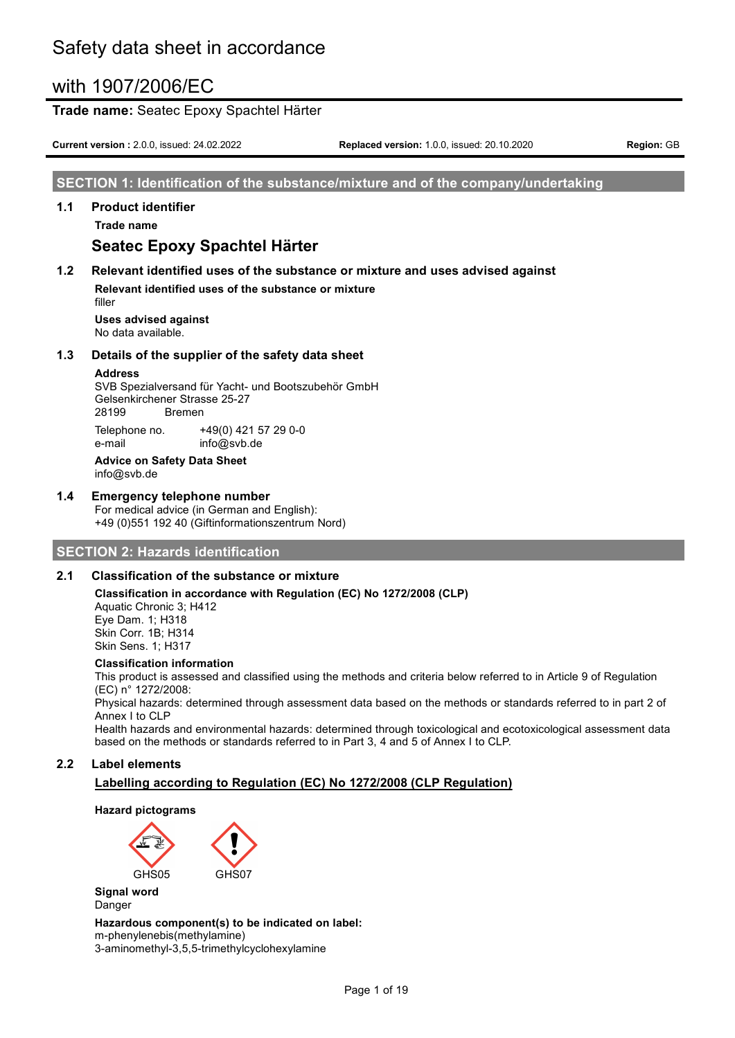#### **Trade name:** Seatec Epoxy Spachtel Härter

**Current version :** 2.0.0, issued: 24.02.2022 **Replaced version:** 1.0.0, issued: 20.10.2020 **Region:** GB

#### **SECTION 1: Identification of the substance/mixture and of the company/undertaking**

#### **1.1 Product identifier**

**Trade name**

# **Seatec Epoxy Spachtel Härter**

### **1.2 Relevant identified uses of the substance or mixture and uses advised against**

**Relevant identified uses of the substance or mixture** filler

**Uses advised against** No data available.

#### **1.3 Details of the supplier of the safety data sheet**

#### **Address**

SVB Spezialversand für Yacht- und Bootszubehör GmbH Gelsenkirchener Strasse 25-27 28199 Bremen Telephone no. +49(0) 421 57 29 0-0

e-mail info@svb.de **Advice on Safety Data Sheet** info@svb.de

#### **1.4 Emergency telephone number**

For medical advice (in German and English): +49 (0)551 192 40 (Giftinformationszentrum Nord)

#### **SECTION 2: Hazards identification**

#### **2.1 Classification of the substance or mixture**

**Classification in accordance with Regulation (EC) No 1272/2008 (CLP)** Aquatic Chronic 3; H412 Eye Dam. 1; H318 Skin Corr. 1B; H314 Skin Sens. 1; H317

#### **Classification information**

This product is assessed and classified using the methods and criteria below referred to in Article 9 of Regulation (EC) n° 1272/2008:

Physical hazards: determined through assessment data based on the methods or standards referred to in part 2 of Annex I to CLP

Health hazards and environmental hazards: determined through toxicological and ecotoxicological assessment data based on the methods or standards referred to in Part 3, 4 and 5 of Annex I to CLP.

#### **2.2 Label elements**

### **Labelling according to Regulation (EC) No 1272/2008 (CLP Regulation)**

#### **Hazard pictograms**



**Signal word** Danger

#### **Hazardous component(s) to be indicated on label:**

m-phenylenebis(methylamine) 3-aminomethyl-3,5,5-trimethylcyclohexylamine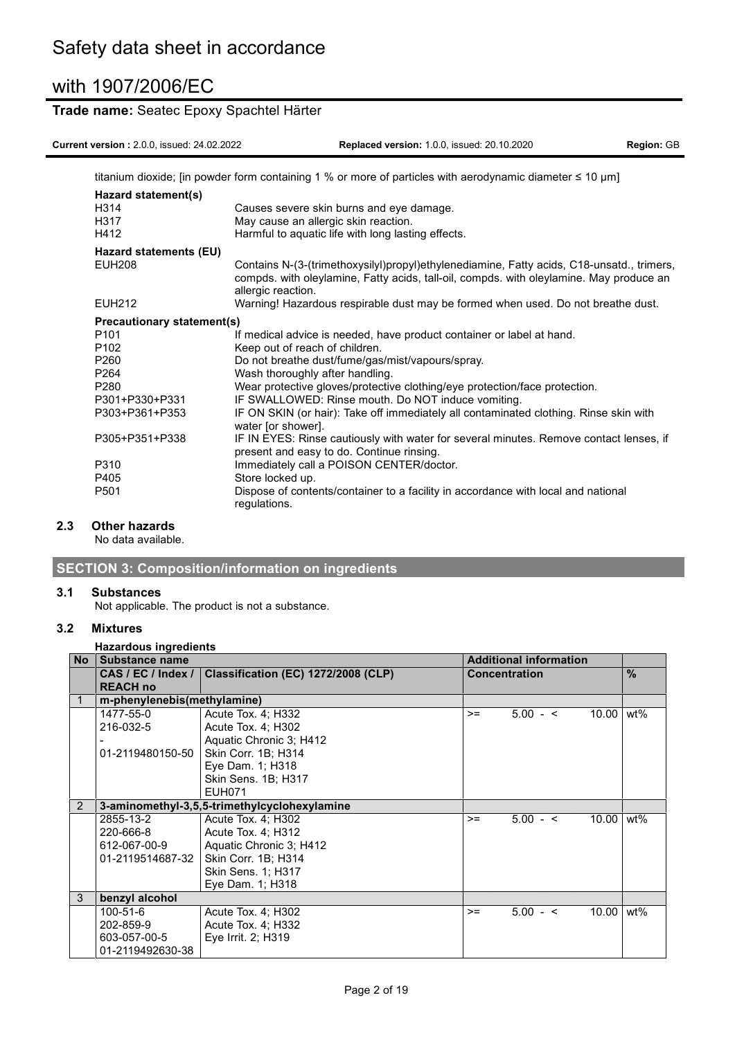### **Trade name:** Seatec Epoxy Spachtel Härter

**Current version :** 2.0.0, issued: 24.02.2022 **Replaced version:** 1.0.0, issued: 20.10.2020 **Region:** GB

|                                             | titanium dioxide; [in powder form containing 1 % or more of particles with aerodynamic diameter $\leq 10 \mu m$ ]                                                                                          |
|---------------------------------------------|------------------------------------------------------------------------------------------------------------------------------------------------------------------------------------------------------------|
| Hazard statement(s)<br>H314<br>H317<br>H412 | Causes severe skin burns and eye damage.<br>May cause an allergic skin reaction.<br>Harmful to aquatic life with long lasting effects.                                                                     |
| Hazard statements (EU)                      |                                                                                                                                                                                                            |
| <b>EUH208</b>                               | Contains N-(3-(trimethoxysilyl)propyl)ethylenediamine, Fatty acids, C18-unsatd., trimers,<br>compds. with oleylamine, Fatty acids, tall-oil, compds. with oleylamine. May produce an<br>allergic reaction. |
| <b>EUH212</b>                               | Warning! Hazardous respirable dust may be formed when used. Do not breathe dust.                                                                                                                           |
| Precautionary statement(s)                  |                                                                                                                                                                                                            |
| P <sub>101</sub>                            | If medical advice is needed, have product container or label at hand.                                                                                                                                      |
| P <sub>102</sub>                            | Keep out of reach of children.                                                                                                                                                                             |
| P <sub>260</sub>                            | Do not breathe dust/fume/gas/mist/vapours/spray.                                                                                                                                                           |
| P <sub>264</sub>                            | Wash thoroughly after handling.                                                                                                                                                                            |
| P <sub>280</sub>                            | Wear protective gloves/protective clothing/eye protection/face protection.                                                                                                                                 |
| P301+P330+P331                              | IF SWALLOWED: Rinse mouth. Do NOT induce vomiting.                                                                                                                                                         |
| P303+P361+P353                              | IF ON SKIN (or hair): Take off immediately all contaminated clothing. Rinse skin with<br>water [or shower].                                                                                                |
| P305+P351+P338                              | IF IN EYES: Rinse cautiously with water for several minutes. Remove contact lenses, if<br>present and easy to do. Continue rinsing.                                                                        |
| P310                                        | Immediately call a POISON CENTER/doctor.                                                                                                                                                                   |
| P405                                        | Store locked up.                                                                                                                                                                                           |
| P <sub>501</sub>                            | Dispose of contents/container to a facility in accordance with local and national<br>regulations.                                                                                                          |

### **2.3 Other hazards**

No data available.

### **SECTION 3: Composition/information on ingredients**

#### **3.1 Substances**

Not applicable. The product is not a substance.

#### **3.2 Mixtures**

#### **Hazardous ingredients**

| <b>No</b> | <b>Substance name</b>       |                                              |                      | <b>Additional information</b> |       |               |
|-----------|-----------------------------|----------------------------------------------|----------------------|-------------------------------|-------|---------------|
|           | CAS / EC / Index /          | <b>Classification (EC) 1272/2008 (CLP)</b>   | <b>Concentration</b> |                               |       | $\frac{0}{0}$ |
|           | <b>REACH no</b>             |                                              |                      |                               |       |               |
| 1         | m-phenylenebis(methylamine) |                                              |                      |                               |       |               |
|           | 1477-55-0                   | Acute Tox. 4: H332                           | $>=$                 | $5.00 - 5$                    | 10.00 | wt%           |
|           | 216-032-5                   | Acute Tox. 4; H302                           |                      |                               |       |               |
|           |                             | Aquatic Chronic 3; H412                      |                      |                               |       |               |
|           | 01-2119480150-50            | Skin Corr. 1B; H314                          |                      |                               |       |               |
|           |                             | Eye Dam. 1; H318                             |                      |                               |       |               |
|           |                             | Skin Sens. 1B; H317                          |                      |                               |       |               |
|           |                             | <b>EUH071</b>                                |                      |                               |       |               |
| 2         |                             | 3-aminomethyl-3,5,5-trimethylcyclohexylamine |                      |                               |       |               |
|           | 2855-13-2                   | Acute Tox. 4; H302                           | $>=$                 | $5.00 - 5$                    | 10.00 | wt%           |
|           | 220-666-8                   | Acute Tox. 4; H312                           |                      |                               |       |               |
|           | 612-067-00-9                | Aquatic Chronic 3: H412                      |                      |                               |       |               |
|           | 01-2119514687-32            | Skin Corr. 1B; H314                          |                      |                               |       |               |
|           |                             | Skin Sens. 1; H317                           |                      |                               |       |               |
|           |                             | Eye Dam. 1; H318                             |                      |                               |       |               |
| 3         | benzyl alcohol              |                                              |                      |                               |       |               |
|           | 100-51-6                    | Acute Tox. 4; H302                           | $>=$                 | $5.00 - <$                    | 10.00 | wt%           |
|           | 202-859-9                   | Acute Tox. 4; H332                           |                      |                               |       |               |
|           | 603-057-00-5                | Eye Irrit. 2; H319                           |                      |                               |       |               |
|           | 01-2119492630-38            |                                              |                      |                               |       |               |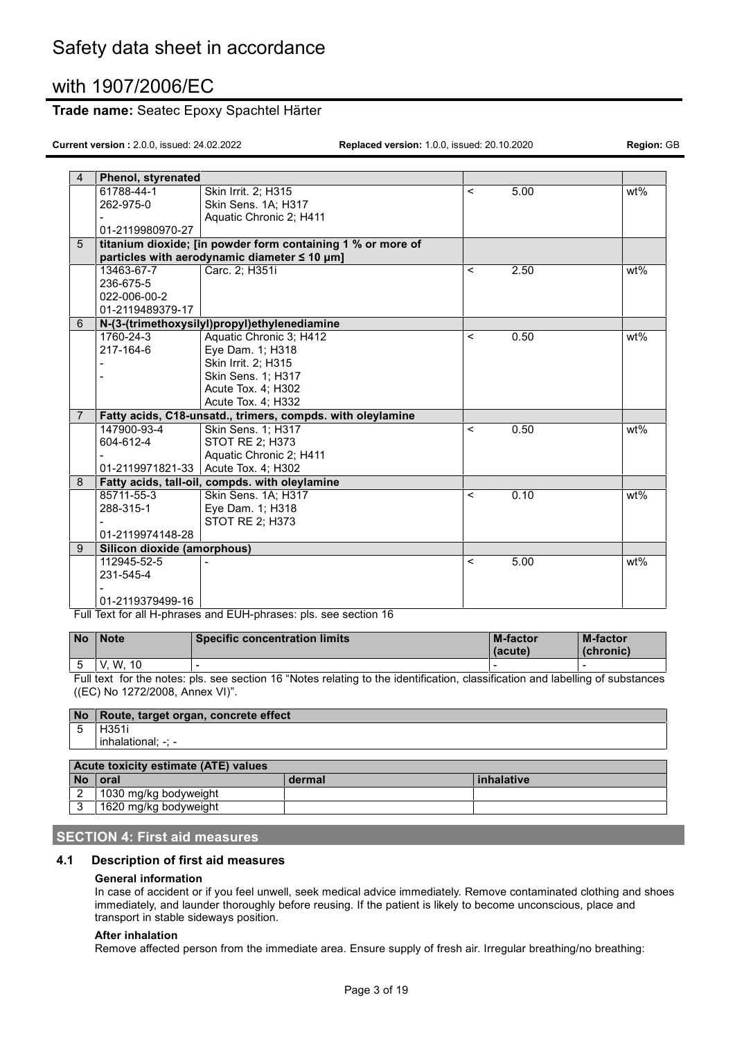### **Trade name:** Seatec Epoxy Spachtel Härter

**Current version :** 2.0.0, issued: 24.02.2022 **Replaced version:** 1.0.0, issued: 20.10.2020 **Region:** GB

| $\overline{4}$ | Phenol, styrenated          |                                                             |                          |                   |        |
|----------------|-----------------------------|-------------------------------------------------------------|--------------------------|-------------------|--------|
|                | 61788-44-1                  | Skin Irrit. 2; H315                                         | $\overline{\phantom{0}}$ | $\overline{5.00}$ | wt%    |
|                | 262-975-0                   | Skin Sens. 1A; H317                                         |                          |                   |        |
|                |                             | Aquatic Chronic 2; H411                                     |                          |                   |        |
|                | 01-2119980970-27            |                                                             |                          |                   |        |
| $\overline{5}$ |                             | titanium dioxide; [in powder form containing 1 % or more of |                          |                   |        |
|                |                             | particles with aerodynamic diameter ≤ 10 µm]                |                          |                   |        |
|                | 13463-67-7                  | Carc. 2; H351i                                              | $\,<\,$                  | 2.50              | wt%    |
|                | 236-675-5                   |                                                             |                          |                   |        |
|                | 022-006-00-2                |                                                             |                          |                   |        |
|                | 01-2119489379-17            |                                                             |                          |                   |        |
| 6              |                             | N-(3-(trimethoxysilyl)propyl)ethylenediamine                |                          |                   |        |
|                | 1760-24-3                   | Aquatic Chronic 3; H412                                     | $\overline{\phantom{a}}$ | 0.50              | wt%    |
|                | 217-164-6                   | Eye Dam. 1; H318                                            |                          |                   |        |
|                |                             | Skin Irrit. 2; H315                                         |                          |                   |        |
|                |                             | Skin Sens. 1; H317                                          |                          |                   |        |
|                |                             | Acute Tox. 4; H302                                          |                          |                   |        |
|                |                             | Acute Tox. 4; H332                                          |                          |                   |        |
| $\overline{7}$ |                             | Fatty acids, C18-unsatd., trimers, compds. with oleylamine  |                          |                   |        |
|                | 147900-93-4                 | Skin Sens. 1; H317                                          | <                        | 0.50              | $wt\%$ |
|                | 604-612-4                   | STOT RE 2; H373                                             |                          |                   |        |
|                |                             | Aquatic Chronic 2; H411                                     |                          |                   |        |
|                |                             | 01-2119971821-33 Acute Tox. 4; H302                         |                          |                   |        |
| 8              |                             | Fatty acids, tall-oil, compds. with oleylamine              |                          |                   |        |
|                | 85711-55-3                  | Skin Sens. 1A; H317                                         | $\,<$                    | 0.10              | $wt\%$ |
|                | 288-315-1                   | Eye Dam. 1; H318                                            |                          |                   |        |
|                |                             | STOT RE 2; H373                                             |                          |                   |        |
|                | 01-2119974148-28            |                                                             |                          |                   |        |
| 9              | Silicon dioxide (amorphous) |                                                             |                          |                   |        |
|                | 112945-52-5                 |                                                             | <                        | 5.00              | wt%    |
|                | 231-545-4                   |                                                             |                          |                   |        |
|                |                             |                                                             |                          |                   |        |
|                | 01-2119379499-16            |                                                             |                          |                   |        |

Full Text for all H-phrases and EUH-phrases: pls. see section 16

| l No | 'Note       | <b>Specific concentration limits</b> | <b>M-factor</b><br>(acute) | <b>M-factor</b><br>(chronic) |
|------|-------------|--------------------------------------|----------------------------|------------------------------|
|      | W. 10<br>V. |                                      |                            |                              |

Full text for the notes: pls. see section 16 "Notes relating to the identification, classification and labelling of substances ((EC) No 1272/2008, Annex VI)".

|    | No Route, target organ, concrete effect |        |            |
|----|-----------------------------------------|--------|------------|
| 5  | H <sub>351</sub>                        |        |            |
|    | inhalational: -: -                      |        |            |
|    |                                         |        |            |
|    | Acute toxicity estimate (ATE) values    |        |            |
| No | l oral                                  | dermal | inhalative |
| 2  | 1030 mg/kg bodyweight                   |        |            |
| 3  | 1620 mg/kg bodyweight                   |        |            |

#### **SECTION 4: First aid measures**

### **4.1 Description of first aid measures**

#### **General information**

In case of accident or if you feel unwell, seek medical advice immediately. Remove contaminated clothing and shoes immediately, and launder thoroughly before reusing. If the patient is likely to become unconscious, place and transport in stable sideways position.

#### **After inhalation**

Remove affected person from the immediate area. Ensure supply of fresh air. Irregular breathing/no breathing: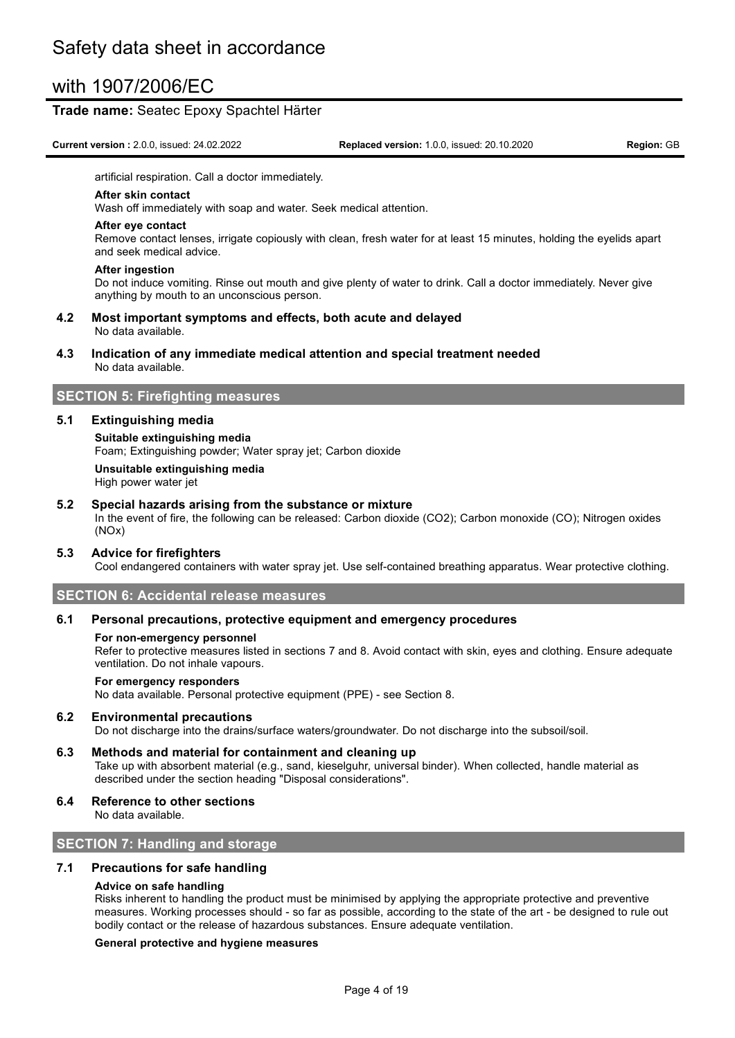#### **Trade name:** Seatec Epoxy Spachtel Härter

**Current version :** 2.0.0, issued: 24.02.2022 **Replaced version:** 1.0.0, issued: 20.10.2020 **Region:** GB

artificial respiration. Call a doctor immediately.

#### **After skin contact**

Wash off immediately with soap and water. Seek medical attention.

#### **After eye contact**

Remove contact lenses, irrigate copiously with clean, fresh water for at least 15 minutes, holding the eyelids apart and seek medical advice.

#### **After ingestion**

Do not induce vomiting. Rinse out mouth and give plenty of water to drink. Call a doctor immediately. Never give anything by mouth to an unconscious person.

- **4.2 Most important symptoms and effects, both acute and delayed** No data available.
- **4.3 Indication of any immediate medical attention and special treatment needed** No data available.

### **SECTION 5: Firefighting measures**

#### **5.1 Extinguishing media**

#### **Suitable extinguishing media**

Foam; Extinguishing powder; Water spray jet; Carbon dioxide

# **Unsuitable extinguishing media**

High power water jet

#### **5.2 Special hazards arising from the substance or mixture**

In the event of fire, the following can be released: Carbon dioxide (CO2); Carbon monoxide (CO); Nitrogen oxides (NOx)

#### **5.3 Advice for firefighters**

Cool endangered containers with water spray jet. Use self-contained breathing apparatus. Wear protective clothing.

#### **SECTION 6: Accidental release measures**

#### **6.1 Personal precautions, protective equipment and emergency procedures**

#### **For non-emergency personnel**

Refer to protective measures listed in sections 7 and 8. Avoid contact with skin, eyes and clothing. Ensure adequate ventilation. Do not inhale vapours.

#### **For emergency responders**

No data available. Personal protective equipment (PPE) - see Section 8.

#### **6.2 Environmental precautions**

Do not discharge into the drains/surface waters/groundwater. Do not discharge into the subsoil/soil.

#### **6.3 Methods and material for containment and cleaning up**

Take up with absorbent material (e.g., sand, kieselguhr, universal binder). When collected, handle material as described under the section heading "Disposal considerations".

#### **6.4 Reference to other sections**

No data available.

### **SECTION 7: Handling and storage**

#### **7.1 Precautions for safe handling**

#### **Advice on safe handling**

Risks inherent to handling the product must be minimised by applying the appropriate protective and preventive measures. Working processes should - so far as possible, according to the state of the art - be designed to rule out bodily contact or the release of hazardous substances. Ensure adequate ventilation.

#### **General protective and hygiene measures**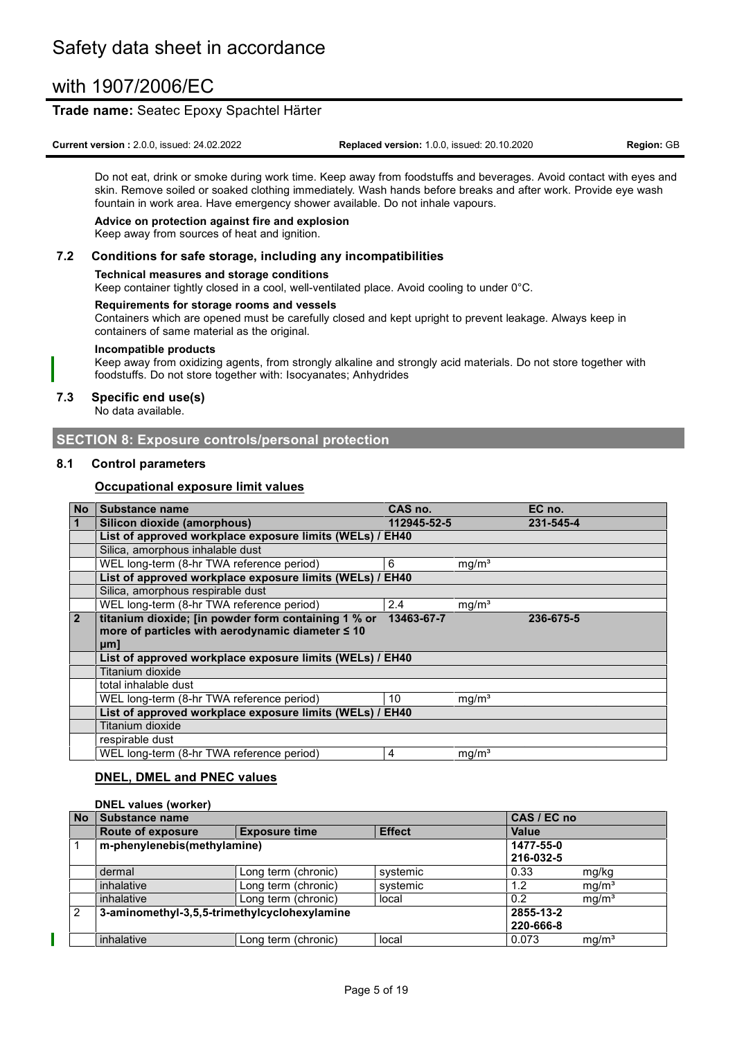### **Trade name:** Seatec Epoxy Spachtel Härter

**Current version :** 2.0.0, issued: 24.02.2022 **Replaced version:** 1.0.0, issued: 20.10.2020 **Region:** GB

Do not eat, drink or smoke during work time. Keep away from foodstuffs and beverages. Avoid contact with eyes and skin. Remove soiled or soaked clothing immediately. Wash hands before breaks and after work. Provide eye wash fountain in work area. Have emergency shower available. Do not inhale vapours.

#### **Advice on protection against fire and explosion**

Keep away from sources of heat and ignition.

#### **7.2 Conditions for safe storage, including any incompatibilities**

#### **Technical measures and storage conditions**

Keep container tightly closed in a cool, well-ventilated place. Avoid cooling to under 0°C.

#### **Requirements for storage rooms and vessels**

Containers which are opened must be carefully closed and kept upright to prevent leakage. Always keep in containers of same material as the original.

#### **Incompatible products**

Keep away from oxidizing agents, from strongly alkaline and strongly acid materials. Do not store together with foodstuffs. Do not store together with: Isocyanates; Anhydrides

#### **7.3 Specific end use(s)**

No data available.

#### **SECTION 8: Exposure controls/personal protection**

#### **8.1 Control parameters**

#### **Occupational exposure limit values**

| <b>No</b>      | Substance name                                           | CAS no.     |                   | EC no.    |
|----------------|----------------------------------------------------------|-------------|-------------------|-----------|
|                | Silicon dioxide (amorphous)                              | 112945-52-5 |                   | 231-545-4 |
|                | List of approved workplace exposure limits (WELs) / EH40 |             |                   |           |
|                | Silica, amorphous inhalable dust                         |             |                   |           |
|                | WEL long-term (8-hr TWA reference period)                | 6           | mg/m <sup>3</sup> |           |
|                | List of approved workplace exposure limits (WELs) / EH40 |             |                   |           |
|                | Silica, amorphous respirable dust                        |             |                   |           |
|                | WEL long-term (8-hr TWA reference period)                | 2.4         | mg/m <sup>3</sup> |           |
| $\overline{2}$ | titanium dioxide; [in powder form containing 1 % or      | 13463-67-7  |                   | 236-675-5 |
|                | more of particles with aerodynamic diameter ≤ 10         |             |                   |           |
|                | µm                                                       |             |                   |           |
|                | List of approved workplace exposure limits (WELs) / EH40 |             |                   |           |
|                | Titanium dioxide                                         |             |                   |           |
|                | total inhalable dust                                     |             |                   |           |
|                | WEL long-term (8-hr TWA reference period)                | 10          | mg/m <sup>3</sup> |           |
|                | List of approved workplace exposure limits (WELs) / EH40 |             |                   |           |
|                | Titanium dioxide                                         |             |                   |           |
|                | respirable dust                                          |             |                   |           |
|                | WEL long-term (8-hr TWA reference period)                | 4           | mg/m <sup>3</sup> |           |

#### **DNEL, DMEL and PNEC values**

#### **DNEL values (worker)**

| <b>No</b> | Substance name                               |                      | CAS / EC no   |           |                   |
|-----------|----------------------------------------------|----------------------|---------------|-----------|-------------------|
|           | <b>Route of exposure</b>                     | <b>Exposure time</b> | <b>Effect</b> | Value     |                   |
|           | m-phenylenebis(methylamine)                  |                      |               | 1477-55-0 |                   |
|           |                                              |                      |               | 216-032-5 |                   |
|           | dermal                                       | Long term (chronic)  | systemic      | 0.33      | mg/kg             |
|           | inhalative                                   | Long term (chronic)  | systemic      | 1.2       | mg/m <sup>3</sup> |
|           | inhalative                                   | Long term (chronic)  | local         | 0.2       | mg/m <sup>3</sup> |
| 2         | 3-aminomethyl-3,5,5-trimethylcyclohexylamine |                      |               | 2855-13-2 |                   |
|           |                                              |                      |               | 220-666-8 |                   |
|           | inhalative                                   | Long term (chronic)  | local         | 0.073     | mq/m <sup>3</sup> |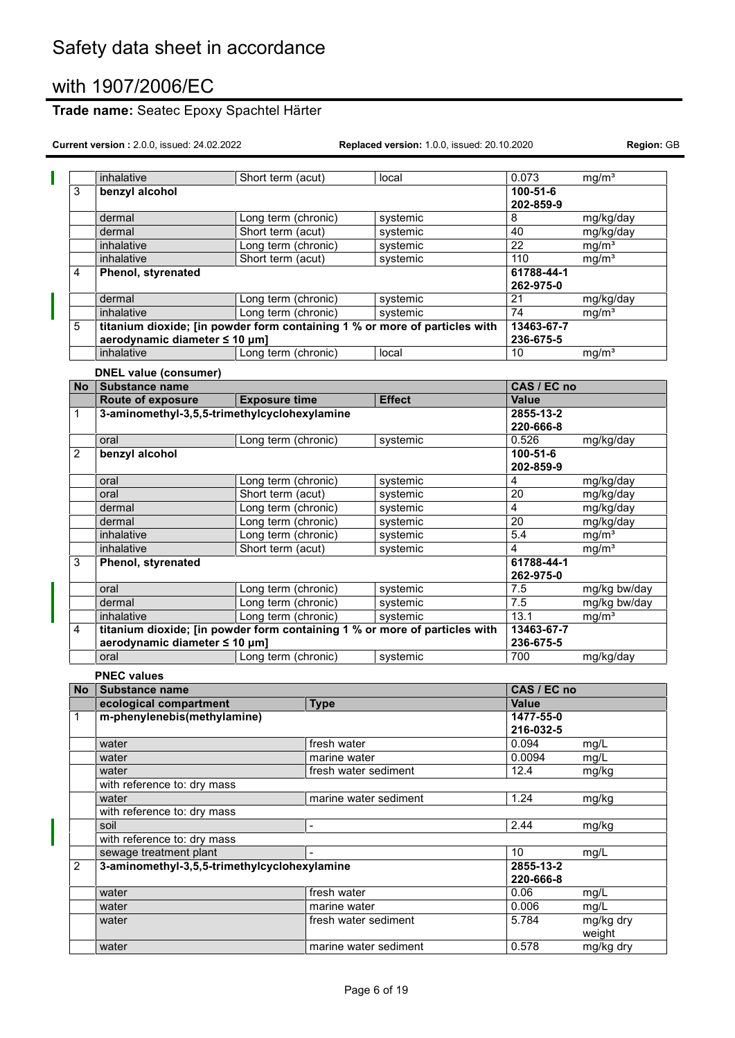Π

# **Trade name:** Seatec Epoxy Spachtel Härter

|                | inhalative                                                                 | Short term (acut)    |                       | local         | 0.073           | mg/m <sup>3</sup> |
|----------------|----------------------------------------------------------------------------|----------------------|-----------------------|---------------|-----------------|-------------------|
| 3              | benzyl alcohol                                                             |                      |                       |               | 100-51-6        |                   |
|                |                                                                            |                      |                       |               | 202-859-9       |                   |
|                | dermal                                                                     | Long term (chronic)  |                       | systemic      | 8               | mg/kg/day         |
|                | dermal                                                                     | Short term (acut)    |                       | systemic      | 40              | mg/kg/day         |
|                | inhalative                                                                 | Long term (chronic)  |                       | systemic      | $\overline{22}$ | mg/m <sup>3</sup> |
|                | inhalative                                                                 | Short term (acut)    |                       | systemic      | 110             | mg/m <sup>3</sup> |
| 4              | Phenol, styrenated                                                         |                      |                       |               | 61788-44-1      |                   |
|                |                                                                            |                      |                       |               | 262-975-0       |                   |
|                | dermal                                                                     | Long term (chronic)  |                       | systemic      | $\overline{21}$ | mg/kg/day         |
|                | inhalative                                                                 | Long term (chronic)  |                       | systemic      | 74              | mg/m <sup>3</sup> |
| 5              | titanium dioxide; [in powder form containing 1 % or more of particles with |                      |                       |               | 13463-67-7      |                   |
|                | aerodynamic diameter ≤ 10 µm]                                              |                      |                       |               | 236-675-5       |                   |
|                | inhalative                                                                 | Long term (chronic)  |                       | local         | 10              | mg/m <sup>3</sup> |
|                |                                                                            |                      |                       |               |                 |                   |
|                | <b>DNEL value (consumer)</b>                                               |                      |                       |               |                 |                   |
| <b>No</b>      | Substance name                                                             |                      |                       |               | CAS / EC no     |                   |
|                | Route of exposure                                                          | <b>Exposure time</b> |                       | <b>Effect</b> | <b>Value</b>    |                   |
| 1              | 3-aminomethyl-3,5,5-trimethylcyclohexylamine                               |                      |                       |               | 2855-13-2       |                   |
|                |                                                                            |                      |                       |               | 220-666-8       |                   |
|                | oral                                                                       | Long term (chronic)  |                       | systemic      | 0.526           | mg/kg/day         |
| 2              | benzyl alcohol                                                             |                      |                       |               | $100 - 51 - 6$  |                   |
|                |                                                                            |                      |                       |               | 202-859-9       |                   |
|                | oral                                                                       | Long term (chronic)  |                       | systemic      | $\overline{4}$  | mg/kg/day         |
|                | oral                                                                       | Short term (acut)    |                       | systemic      | $\overline{20}$ | mg/kg/day         |
|                | dermal                                                                     | Long term (chronic)  |                       | systemic      | $\overline{4}$  | mg/kg/day         |
|                | dermal                                                                     | Long term (chronic)  |                       | systemic      | $\overline{20}$ | mg/kg/day         |
|                | inhalative                                                                 | Long term (chronic)  |                       | systemic      | 5.4             | mg/m <sup>3</sup> |
|                | inhalative                                                                 | Short term (acut)    |                       | systemic      | $\overline{4}$  | mg/m <sup>3</sup> |
| 3              | Phenol, styrenated                                                         |                      |                       |               | 61788-44-1      |                   |
|                |                                                                            |                      |                       |               | 262-975-0       |                   |
|                | oral                                                                       | Long term (chronic)  |                       | systemic      | 7.5             | mg/kg bw/day      |
|                | dermal                                                                     | Long term (chronic)  |                       | systemic      | 7.5             | mg/kg bw/day      |
|                | inhalative                                                                 | Long term (chronic)  |                       | systemic      | 13.1            | mg/m <sup>3</sup> |
| 4              | titanium dioxide; [in powder form containing 1 % or more of particles with |                      |                       |               | 13463-67-7      |                   |
|                | aerodynamic diameter ≤ 10 µm]                                              |                      |                       |               | 236-675-5       |                   |
|                | oral                                                                       | Long term (chronic)  |                       | systemic      | 700             | mg/kg/day         |
|                | <b>PNEC values</b>                                                         |                      |                       |               |                 |                   |
| <b>No</b>      | <b>Substance name</b>                                                      |                      |                       |               | CAS / EC no     |                   |
|                | ecological compartment                                                     |                      |                       |               | <b>Value</b>    |                   |
|                |                                                                            |                      | <b>Type</b>           |               | 1477-55-0       |                   |
| 1              | m-phenylenebis(methylamine)                                                |                      |                       |               | 216-032-5       |                   |
|                |                                                                            |                      |                       |               | 0.094           |                   |
|                | water                                                                      |                      | fresh water           |               |                 | mg/L              |
|                | water                                                                      |                      | marine water          |               | 0.0094          | mg/L              |
|                | water                                                                      |                      | fresh water sediment  |               | 12.4            | mg/kg             |
|                | with reference to: dry mass                                                |                      |                       |               |                 |                   |
|                | water                                                                      |                      | marine water sediment |               | 1.24            | mg/kg             |
|                | with reference to: dry mass<br>soil                                        |                      |                       |               |                 |                   |
|                |                                                                            |                      |                       | 2.44          | mg/kg           |                   |
|                | with reference to: dry mass                                                |                      |                       |               |                 |                   |
|                | sewage treatment plant                                                     |                      |                       |               | 10              | mg/L              |
| $\overline{2}$ | 3-aminomethyl-3,5,5-trimethylcyclohexylamine                               |                      |                       |               | 2855-13-2       |                   |
|                |                                                                            |                      |                       |               | 220-666-8       |                   |
|                | water                                                                      |                      | fresh water           |               | 0.06            | mg/L              |
|                | water                                                                      |                      | marine water          |               | 0.006           | mg/L              |
|                | water                                                                      |                      | fresh water sediment  |               | 5.784           | mg/kg dry         |
|                |                                                                            |                      |                       |               |                 | weight            |
|                | water                                                                      |                      | marine water sediment |               | 0.578           | mg/kg dry         |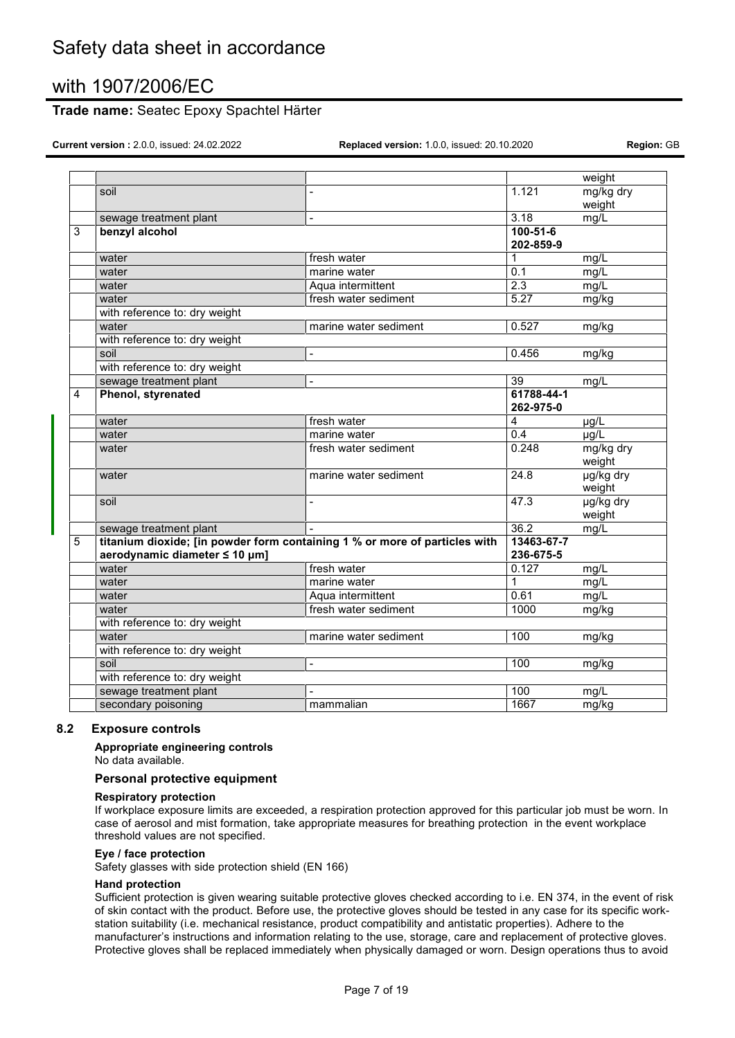### **Trade name:** Seatec Epoxy Spachtel Härter

**Current version :** 2.0.0, issued: 24.02.2022 **Replaced version:** 1.0.0, issued: 20.10.2020 **Region:** GB

|   |                                                                            |                          |                   | weight    |
|---|----------------------------------------------------------------------------|--------------------------|-------------------|-----------|
|   | soil                                                                       | $\overline{a}$           | 1.121             | mg/kg dry |
|   |                                                                            |                          |                   | weight    |
|   | sewage treatment plant                                                     | $\overline{a}$           | 3.18              | mg/L      |
| 3 | benzyl alcohol                                                             |                          | $100 - 51 - 6$    |           |
|   |                                                                            |                          | 202-859-9         |           |
|   | water                                                                      | fresh water              | 1                 | mg/L      |
|   | water                                                                      | marine water             | 0.1               | mg/L      |
|   | water                                                                      | Aqua intermittent        | 2.3               | mg/L      |
|   | water                                                                      | fresh water sediment     | 5.27              | mg/kg     |
|   | with reference to: dry weight                                              |                          |                   |           |
|   | water                                                                      | marine water sediment    | 0.527             | mg/kg     |
|   | with reference to: dry weight                                              |                          |                   |           |
|   | soil                                                                       | $\overline{a}$           | 0.456             | mg/kg     |
|   | with reference to: dry weight                                              |                          |                   |           |
|   | sewage treatment plant                                                     | $\overline{a}$           | 39                | mg/L      |
| 4 | Phenol, styrenated                                                         |                          | 61788-44-1        |           |
|   |                                                                            |                          | 262-975-0         |           |
|   | water                                                                      | fresh water              | 4                 | µg/L      |
|   | water                                                                      | marine water             | 0.4               | µg/L      |
|   | water                                                                      | fresh water sediment     | 0.248             | mg/kg dry |
|   |                                                                            |                          |                   | weight    |
|   | water                                                                      | marine water sediment    | $\overline{24.8}$ | µg/kg dry |
|   |                                                                            |                          |                   | weight    |
|   | soil                                                                       | $\overline{a}$           | 47.3              | ug/kg dry |
|   |                                                                            |                          |                   | weight    |
|   | sewage treatment plant                                                     |                          | 36.2              | mg/L      |
| 5 | titanium dioxide; [in powder form containing 1 % or more of particles with |                          | 13463-67-7        |           |
|   | aerodynamic diameter ≤ 10 µm]                                              |                          | 236-675-5         |           |
|   | water                                                                      | fresh water              | 0.127             | mg/L      |
|   | water                                                                      | marine water             | $\mathbf 1$       | mg/L      |
|   | water                                                                      | Aqua intermittent        | 0.61              | mg/L      |
|   | water                                                                      | fresh water sediment     | 1000              | mg/kg     |
|   | with reference to: dry weight                                              |                          |                   |           |
|   | water                                                                      | marine water sediment    | 100               | mg/kg     |
|   | with reference to: dry weight                                              |                          |                   |           |
|   | soil                                                                       | $\overline{\phantom{a}}$ | 100               | mg/kg     |
|   | with reference to: dry weight                                              |                          |                   |           |
|   | sewage treatment plant                                                     |                          | 100               | mg/L      |
|   | secondary poisoning                                                        | mammalian                | 1667              | mg/kg     |
|   |                                                                            |                          |                   |           |

#### **8.2 Exposure controls**

#### **Appropriate engineering controls**

No data available.

#### **Personal protective equipment**

#### **Respiratory protection**

If workplace exposure limits are exceeded, a respiration protection approved for this particular job must be worn. In case of aerosol and mist formation, take appropriate measures for breathing protection in the event workplace threshold values are not specified.

#### **Eye / face protection**

Safety glasses with side protection shield (EN 166)

#### **Hand protection**

Sufficient protection is given wearing suitable protective gloves checked according to i.e. EN 374, in the event of risk of skin contact with the product. Before use, the protective gloves should be tested in any case for its specific workstation suitability (i.e. mechanical resistance, product compatibility and antistatic properties). Adhere to the manufacturer's instructions and information relating to the use, storage, care and replacement of protective gloves. Protective gloves shall be replaced immediately when physically damaged or worn. Design operations thus to avoid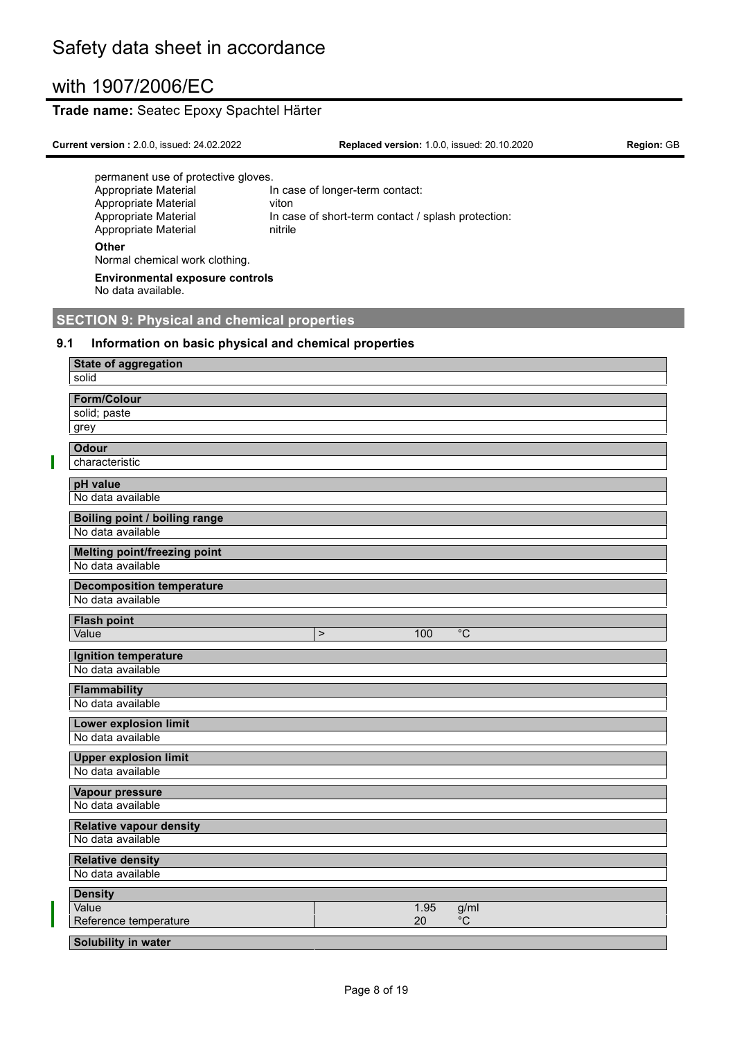### **Trade name:** Seatec Epoxy Spachtel Härter

| <b>Current version: 2.0.0, issued: 24.02.2022</b> | <b>Replaced version: 1.0.0, issued: 20.10.2020</b> | <b>Region: GB</b> |
|---------------------------------------------------|----------------------------------------------------|-------------------|
| permanent use of protective gloves.               |                                                    |                   |
| Appropriate Material                              | In case of longer-term contact:                    |                   |
| Appropriate Material                              | viton                                              |                   |
| Appropriate Material                              | In case of short-term contact / splash protection: |                   |
| Appropriate Material                              | nitrile                                            |                   |
| Other                                             |                                                    |                   |

Normal chemical work clothing.

**Environmental exposure controls** No data available.

# **SECTION 9: Physical and chemical properties**

#### **9.1 Information on basic physical and chemical properties**

| <b>State of aggregation</b>          |        |      |                |
|--------------------------------------|--------|------|----------------|
| solid                                |        |      |                |
| <b>Form/Colour</b>                   |        |      |                |
| solid; paste                         |        |      |                |
| grey                                 |        |      |                |
| <b>Odour</b>                         |        |      |                |
| characteristic                       |        |      |                |
| pH value                             |        |      |                |
| No data available                    |        |      |                |
| <b>Boiling point / boiling range</b> |        |      |                |
| No data available                    |        |      |                |
| <b>Melting point/freezing point</b>  |        |      |                |
| No data available                    |        |      |                |
| <b>Decomposition temperature</b>     |        |      |                |
| No data available                    |        |      |                |
| <b>Flash point</b>                   |        |      |                |
| Value                                | $\geq$ | 100  | $\overline{C}$ |
| Ignition temperature                 |        |      |                |
| No data available                    |        |      |                |
| <b>Flammability</b>                  |        |      |                |
| No data available                    |        |      |                |
| <b>Lower explosion limit</b>         |        |      |                |
| No data available                    |        |      |                |
| <b>Upper explosion limit</b>         |        |      |                |
| No data available                    |        |      |                |
| <b>Vapour pressure</b>               |        |      |                |
| No data available                    |        |      |                |
| <b>Relative vapour density</b>       |        |      |                |
| No data available                    |        |      |                |
| <b>Relative density</b>              |        |      |                |
| No data available                    |        |      |                |
| <b>Density</b>                       |        |      |                |
| Value                                |        | 1.95 | g/ml           |
| Reference temperature                |        | 20   | $^{\circ}$ C   |
| Solubility in water                  |        |      |                |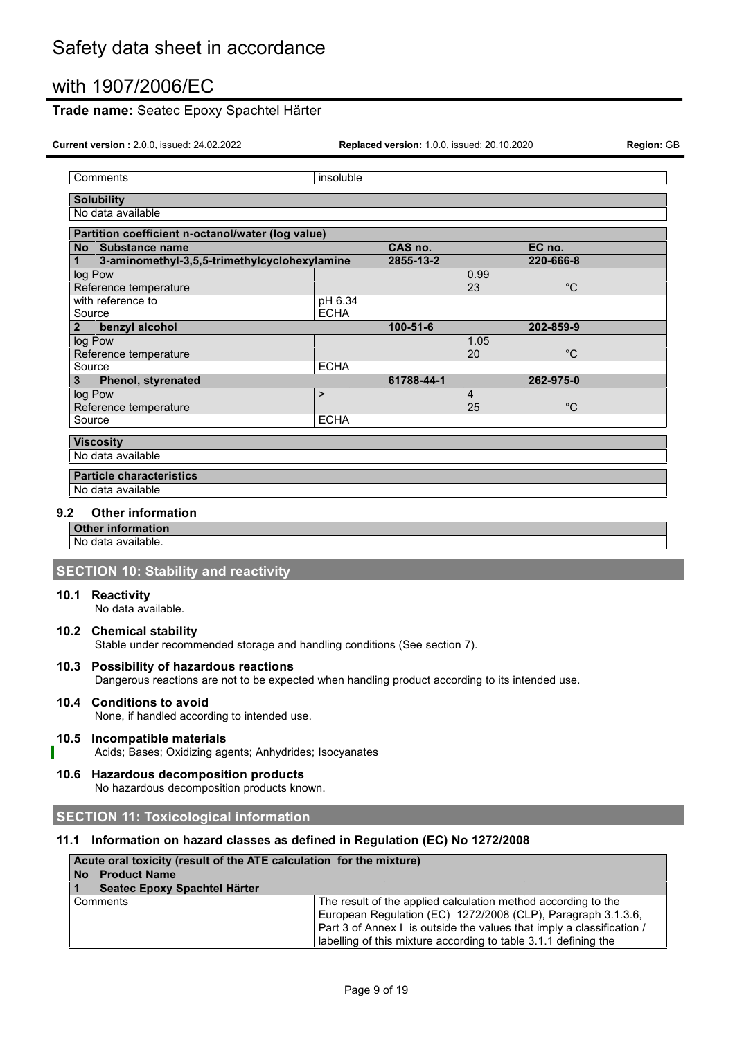### **Trade name:** Seatec Epoxy Spachtel Härter

**Current version :** 2.0.0, issued: 24.02.2022 **Replaced version:** 1.0.0, issued: 20.10.2020 **Region:** GB

| Comments                                          | insoluble   |                |      |             |  |  |
|---------------------------------------------------|-------------|----------------|------|-------------|--|--|
| <b>Solubility</b>                                 |             |                |      |             |  |  |
| No data available                                 |             |                |      |             |  |  |
| Partition coefficient n-octanol/water (log value) |             |                |      |             |  |  |
| CAS no.<br>EC no.<br>Substance name<br><b>No</b>  |             |                |      |             |  |  |
| 3-aminomethyl-3,5,5-trimethylcyclohexylamine<br>1 |             | 2855-13-2      |      | 220-666-8   |  |  |
| log Pow                                           |             |                | 0.99 |             |  |  |
| Reference temperature                             |             |                | 23   | $^{\circ}C$ |  |  |
| with reference to                                 | pH 6.34     |                |      |             |  |  |
| Source                                            | <b>ECHA</b> |                |      |             |  |  |
| benzyl alcohol<br>$\mathbf{2}$                    |             | $100 - 51 - 6$ |      | 202-859-9   |  |  |
| log Pow                                           |             |                | 1.05 |             |  |  |
| Reference temperature                             |             |                | 20   | $^{\circ}C$ |  |  |
| Source                                            | <b>ECHA</b> |                |      |             |  |  |
| Phenol, styrenated<br>3                           |             | 61788-44-1     |      | 262-975-0   |  |  |
| log Pow                                           | $\geq$      |                | 4    |             |  |  |
| Reference temperature                             |             |                | 25   | $^{\circ}C$ |  |  |
| Source                                            | <b>ECHA</b> |                |      |             |  |  |
| <b>Viscosity</b>                                  |             |                |      |             |  |  |
| No data available                                 |             |                |      |             |  |  |
| <b>Particle characteristics</b>                   |             |                |      |             |  |  |
| No data available                                 |             |                |      |             |  |  |

#### **9.2 Other information**

**Other information**

No data available.

### **SECTION 10: Stability and reactivity**

#### **10.1 Reactivity**

No data available.

#### **10.2 Chemical stability**

Stable under recommended storage and handling conditions (See section 7).

#### **10.3 Possibility of hazardous reactions**

Dangerous reactions are not to be expected when handling product according to its intended use.

#### **10.4 Conditions to avoid**

None, if handled according to intended use.

#### **10.5 Incompatible materials**

Acids; Bases; Oxidizing agents; Anhydrides; Isocyanates

### **10.6 Hazardous decomposition products**

No hazardous decomposition products known.

#### **SECTION 11: Toxicological information**

#### **11.1 Information on hazard classes as defined in Regulation (EC) No 1272/2008**

|     | Acute oral toxicity (result of the ATE calculation for the mixture) |                                                                       |  |  |
|-----|---------------------------------------------------------------------|-----------------------------------------------------------------------|--|--|
|     | No Product Name                                                     |                                                                       |  |  |
| l 1 | Seatec Epoxy Spachtel Härter                                        |                                                                       |  |  |
|     | l Comments                                                          | The result of the applied calculation method according to the         |  |  |
|     |                                                                     | European Regulation (EC) 1272/2008 (CLP), Paragraph 3.1.3.6,          |  |  |
|     |                                                                     | Part 3 of Annex I is outside the values that imply a classification / |  |  |
|     |                                                                     | labelling of this mixture according to table 3.1.1 defining the       |  |  |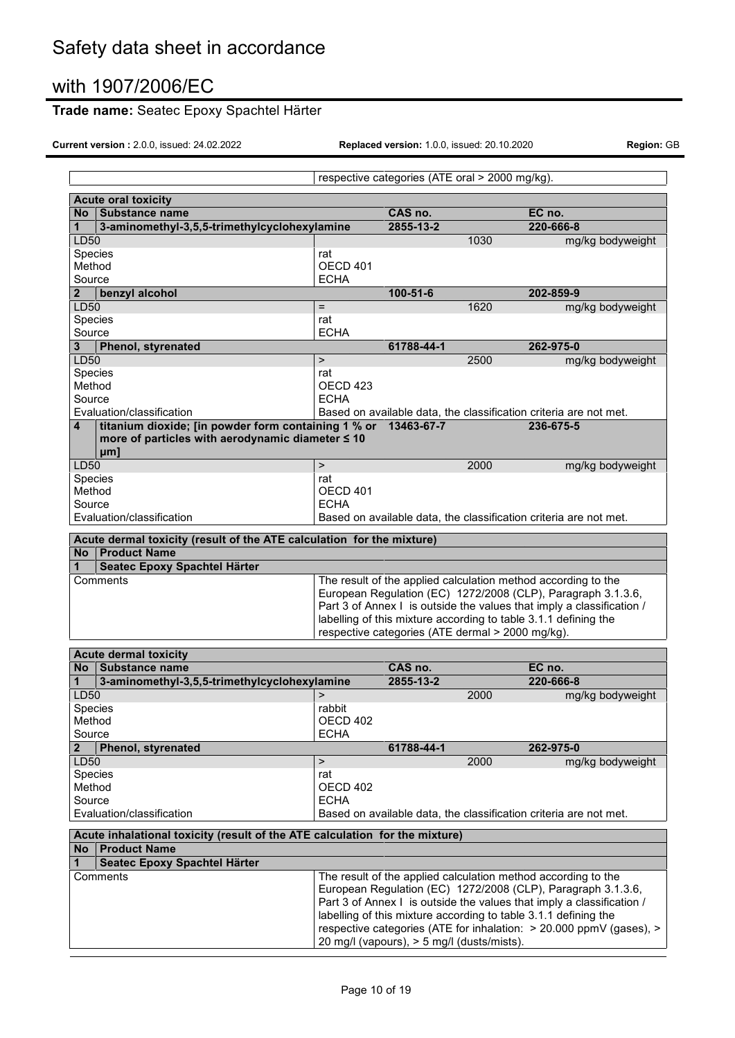# **Trade name:** Seatec Epoxy Spachtel Härter

|                            | respective categories (ATE oral > 2000 mg/kg).                              |                     |                                            |      |                                                                       |  |  |  |
|----------------------------|-----------------------------------------------------------------------------|---------------------|--------------------------------------------|------|-----------------------------------------------------------------------|--|--|--|
| <b>Acute oral toxicity</b> |                                                                             |                     |                                            |      |                                                                       |  |  |  |
|                            | No Substance name                                                           |                     | CAS no.                                    |      | EC no.                                                                |  |  |  |
| 1                          | 3-aminomethyl-3,5,5-trimethylcyclohexylamine                                |                     | 2855-13-2                                  |      | 220-666-8                                                             |  |  |  |
| LD50                       |                                                                             |                     |                                            | 1030 | mg/kg bodyweight                                                      |  |  |  |
| Species                    |                                                                             | rat                 |                                            |      |                                                                       |  |  |  |
| Method                     |                                                                             | OECD 401            |                                            |      |                                                                       |  |  |  |
| Source                     |                                                                             | <b>ECHA</b>         |                                            |      |                                                                       |  |  |  |
| $\overline{2}$             | benzyl alcohol                                                              |                     | $100 - 51 - 6$                             |      | 202-859-9                                                             |  |  |  |
| LD50                       |                                                                             | $=$                 |                                            | 1620 | mg/kg bodyweight                                                      |  |  |  |
| Species                    |                                                                             | rat                 |                                            |      |                                                                       |  |  |  |
| Source                     |                                                                             | <b>ECHA</b>         |                                            |      |                                                                       |  |  |  |
| 3                          | <b>Phenol, styrenated</b>                                                   |                     | 61788-44-1                                 |      | 262-975-0                                                             |  |  |  |
| LD50                       |                                                                             | $\geq$              |                                            | 2500 | mg/kg bodyweight                                                      |  |  |  |
| Species                    |                                                                             | rat                 |                                            |      |                                                                       |  |  |  |
| Method                     |                                                                             | OECD <sub>423</sub> |                                            |      |                                                                       |  |  |  |
| Source                     |                                                                             | <b>ECHA</b>         |                                            |      |                                                                       |  |  |  |
|                            | Evaluation/classification                                                   |                     |                                            |      | Based on available data, the classification criteria are not met.     |  |  |  |
| 4                          | titanium dioxide; [in powder form containing 1 % or 13463-67-7              |                     |                                            |      | 236-675-5                                                             |  |  |  |
|                            | more of particles with aerodynamic diameter ≤ 10                            |                     |                                            |      |                                                                       |  |  |  |
|                            | µm]                                                                         |                     |                                            |      |                                                                       |  |  |  |
| LD50                       |                                                                             | $\mathbf{I}$        |                                            | 2000 | mg/kg bodyweight                                                      |  |  |  |
| Species                    |                                                                             | rat                 |                                            |      |                                                                       |  |  |  |
| Method                     |                                                                             | OECD <sub>401</sub> |                                            |      |                                                                       |  |  |  |
| Source                     |                                                                             | <b>ECHA</b>         |                                            |      |                                                                       |  |  |  |
|                            | Evaluation/classification                                                   |                     |                                            |      | Based on available data, the classification criteria are not met.     |  |  |  |
|                            | Acute dermal toxicity (result of the ATE calculation for the mixture)       |                     |                                            |      |                                                                       |  |  |  |
| No.                        | <b>Product Name</b>                                                         |                     |                                            |      |                                                                       |  |  |  |
| 1                          | Seatec Epoxy Spachtel Härter                                                |                     |                                            |      |                                                                       |  |  |  |
|                            | Comments                                                                    |                     |                                            |      | The result of the applied calculation method according to the         |  |  |  |
|                            |                                                                             |                     |                                            |      | European Regulation (EC) 1272/2008 (CLP), Paragraph 3.1.3.6,          |  |  |  |
|                            |                                                                             |                     |                                            |      | Part 3 of Annex I is outside the values that imply a classification / |  |  |  |
|                            |                                                                             |                     |                                            |      | labelling of this mixture according to table 3.1.1 defining the       |  |  |  |
|                            |                                                                             |                     |                                            |      |                                                                       |  |  |  |
|                            |                                                                             |                     |                                            |      | respective categories (ATE dermal > 2000 mg/kg).                      |  |  |  |
|                            | <b>Acute dermal toxicity</b>                                                |                     |                                            |      |                                                                       |  |  |  |
| No                         | Substance name                                                              |                     |                                            |      |                                                                       |  |  |  |
| 1                          |                                                                             |                     | CAS no.                                    |      | EC no.                                                                |  |  |  |
|                            | 3-aminomethyl-3,5,5-trimethylcyclohexylamine                                |                     | 2855-13-2                                  |      | 220-666-8                                                             |  |  |  |
| LD50                       |                                                                             | $\geq$              |                                            | 2000 | mg/kg bodyweight                                                      |  |  |  |
| Species                    |                                                                             | rabbit              |                                            |      |                                                                       |  |  |  |
| Method                     |                                                                             | OECD 402            |                                            |      |                                                                       |  |  |  |
| Source                     |                                                                             | <b>ECHA</b>         |                                            |      |                                                                       |  |  |  |
| 2                          | Phenol, styrenated                                                          |                     | 61788-44-1                                 |      | 262-975-0                                                             |  |  |  |
| LD50                       |                                                                             | $\geq$              |                                            | 2000 | mg/kg bodyweight                                                      |  |  |  |
| Species                    |                                                                             | rat                 |                                            |      |                                                                       |  |  |  |
| Method                     |                                                                             | OECD 402            |                                            |      |                                                                       |  |  |  |
| Source                     |                                                                             | <b>ECHA</b>         |                                            |      |                                                                       |  |  |  |
|                            | Evaluation/classification                                                   |                     |                                            |      | Based on available data, the classification criteria are not met.     |  |  |  |
|                            | Acute inhalational toxicity (result of the ATE calculation for the mixture) |                     |                                            |      |                                                                       |  |  |  |
|                            | No   Product Name                                                           |                     |                                            |      |                                                                       |  |  |  |
| 1                          | Seatec Epoxy Spachtel Härter                                                |                     |                                            |      |                                                                       |  |  |  |
|                            | Comments                                                                    |                     |                                            |      | The result of the applied calculation method according to the         |  |  |  |
|                            |                                                                             |                     |                                            |      | European Regulation (EC) 1272/2008 (CLP), Paragraph 3.1.3.6,          |  |  |  |
|                            |                                                                             |                     |                                            |      | Part 3 of Annex I is outside the values that imply a classification / |  |  |  |
|                            |                                                                             |                     |                                            |      | labelling of this mixture according to table 3.1.1 defining the       |  |  |  |
|                            |                                                                             |                     | 20 mg/l (vapours), > 5 mg/l (dusts/mists). |      | respective categories (ATE for inhalation: > 20.000 ppmV (gases), >   |  |  |  |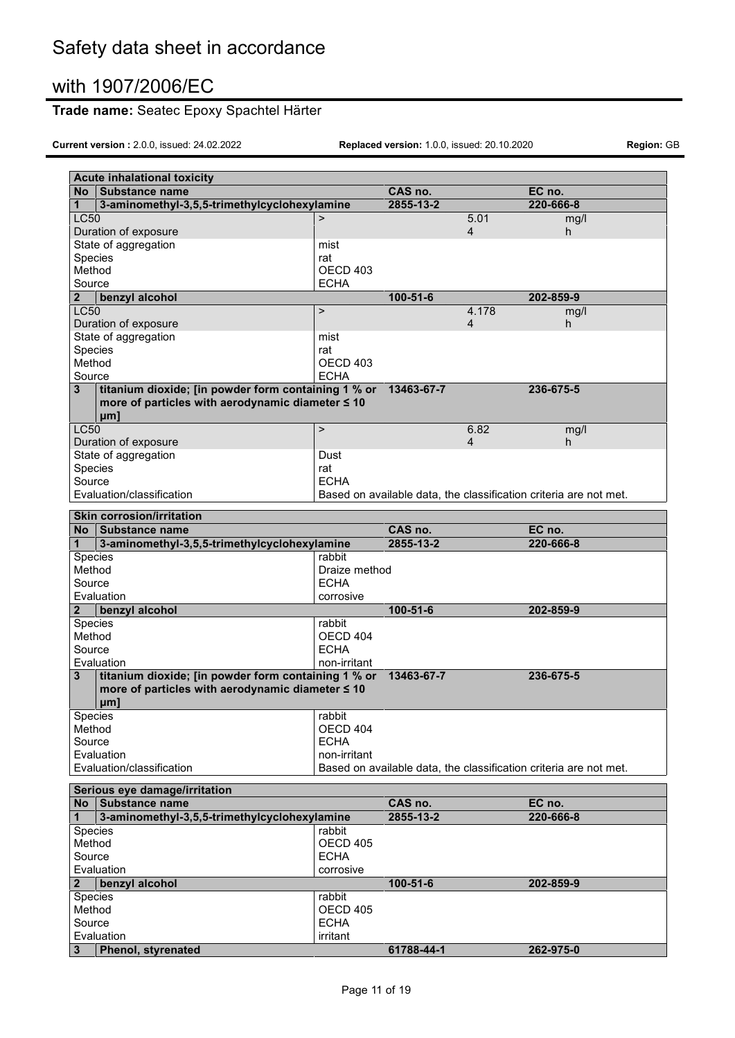# **Trade name:** Seatec Epoxy Spachtel Härter

|                  | <b>Acute inhalational toxicity</b>                                                                      |                         |                 |                |                                                                   |
|------------------|---------------------------------------------------------------------------------------------------------|-------------------------|-----------------|----------------|-------------------------------------------------------------------|
| <b>No</b>        | Substance name                                                                                          |                         | CAS no.         |                | EC no.                                                            |
| 1                | 3-aminomethyl-3,5,5-trimethylcyclohexylamine                                                            |                         | 2855-13-2       |                | 220-666-8                                                         |
| <b>LC50</b>      |                                                                                                         | $\geq$                  |                 | 5.01           | mg/l                                                              |
|                  | Duration of exposure                                                                                    |                         |                 | $\overline{4}$ | h                                                                 |
|                  | State of aggregation                                                                                    | mist                    |                 |                |                                                                   |
| Species          |                                                                                                         | rat                     |                 |                |                                                                   |
| Method           |                                                                                                         | OECD <sub>403</sub>     |                 |                |                                                                   |
| Source           |                                                                                                         | <b>ECHA</b>             |                 |                |                                                                   |
| $\mathbf{2}$     | benzyl alcohol                                                                                          |                         | $100 - 51 - 6$  |                | 202-859-9                                                         |
| <b>LC50</b>      |                                                                                                         | $\geq$                  |                 | 4.178          | mg/l                                                              |
|                  | Duration of exposure                                                                                    |                         |                 | 4              | h.                                                                |
|                  | State of aggregation                                                                                    | mist                    |                 |                |                                                                   |
| Species          |                                                                                                         | rat                     |                 |                |                                                                   |
| Method<br>Source |                                                                                                         | OECD 403<br><b>ECHA</b> |                 |                |                                                                   |
|                  |                                                                                                         |                         | 13463-67-7      |                | 236-675-5                                                         |
| 3                | titanium dioxide; [in powder form containing 1 % or<br>more of particles with aerodynamic diameter ≤ 10 |                         |                 |                |                                                                   |
|                  |                                                                                                         |                         |                 |                |                                                                   |
| <b>LC50</b>      | µm]                                                                                                     | $\mathbf{r}$            |                 | 6.82           | mg/l                                                              |
|                  | Duration of exposure                                                                                    |                         |                 | $\overline{4}$ | h.                                                                |
|                  | State of aggregation                                                                                    | Dust                    |                 |                |                                                                   |
| Species          |                                                                                                         | rat                     |                 |                |                                                                   |
| Source           |                                                                                                         | <b>ECHA</b>             |                 |                |                                                                   |
|                  | Evaluation/classification                                                                               |                         |                 |                | Based on available data, the classification criteria are not met. |
|                  |                                                                                                         |                         |                 |                |                                                                   |
|                  | <b>Skin corrosion/irritation</b>                                                                        |                         |                 |                |                                                                   |
| <b>No</b>        | Substance name                                                                                          |                         | CAS no.         |                | EC no.                                                            |
| 1                | 3-aminomethyl-3,5,5-trimethylcyclohexylamine                                                            |                         | $2855 - 13 - 2$ |                | 220-666-8                                                         |
| Species          |                                                                                                         | rabbit                  |                 |                |                                                                   |
| Method           |                                                                                                         | Draize method           |                 |                |                                                                   |
| Source           |                                                                                                         | <b>ECHA</b>             |                 |                |                                                                   |
|                  | Evaluation                                                                                              | corrosive               |                 |                |                                                                   |
| $\mathbf{2}$     | benzyl alcohol                                                                                          |                         | $100 - 51 - 6$  |                | 202-859-9                                                         |
| Species          |                                                                                                         | rabbit                  |                 |                |                                                                   |
| Method           |                                                                                                         | OECD 404                |                 |                |                                                                   |
| Source           |                                                                                                         | <b>ECHA</b>             |                 |                |                                                                   |
|                  | Evaluation                                                                                              | non-irritant            |                 |                |                                                                   |
| 3                | titanium dioxide; [in powder form containing 1 % or                                                     |                         | 13463-67-7      |                | 236-675-5                                                         |
|                  | more of particles with aerodynamic diameter ≤ 10                                                        |                         |                 |                |                                                                   |
|                  | µm]                                                                                                     |                         |                 |                |                                                                   |
| Species          |                                                                                                         | rabbit<br>OECD 404      |                 |                |                                                                   |
| Method<br>Source |                                                                                                         | <b>ECHA</b>             |                 |                |                                                                   |
|                  | Evaluation                                                                                              | non-irritant            |                 |                |                                                                   |
|                  | Evaluation/classification                                                                               |                         |                 |                | Based on available data, the classification criteria are not met. |
|                  |                                                                                                         |                         |                 |                |                                                                   |
|                  | Serious eye damage/irritation                                                                           |                         |                 |                |                                                                   |
| <b>No</b>        | Substance name                                                                                          |                         | CAS no.         |                | EC no.                                                            |
| $\mathbf{1}$     | 3-aminomethyl-3,5,5-trimethylcyclohexylamine                                                            |                         | 2855-13-2       |                | 220-666-8                                                         |
| Species          |                                                                                                         | rabbit                  |                 |                |                                                                   |
| Method           |                                                                                                         | <b>OECD 405</b>         |                 |                |                                                                   |
| Source           |                                                                                                         | <b>ECHA</b>             |                 |                |                                                                   |
|                  | Evaluation                                                                                              | corrosive               |                 |                |                                                                   |
| $\mathbf{2}$     | benzyl alcohol                                                                                          |                         | $100 - 51 - 6$  |                | 202-859-9                                                         |
| Species          |                                                                                                         | rabbit                  |                 |                |                                                                   |
| Method           |                                                                                                         | <b>OECD 405</b>         |                 |                |                                                                   |
| Source           |                                                                                                         | <b>ECHA</b>             |                 |                |                                                                   |
|                  | Evaluation                                                                                              | irritant                |                 |                |                                                                   |
| 3                | Phenol, styrenated                                                                                      |                         | 61788-44-1      |                | 262-975-0                                                         |
|                  |                                                                                                         |                         |                 |                |                                                                   |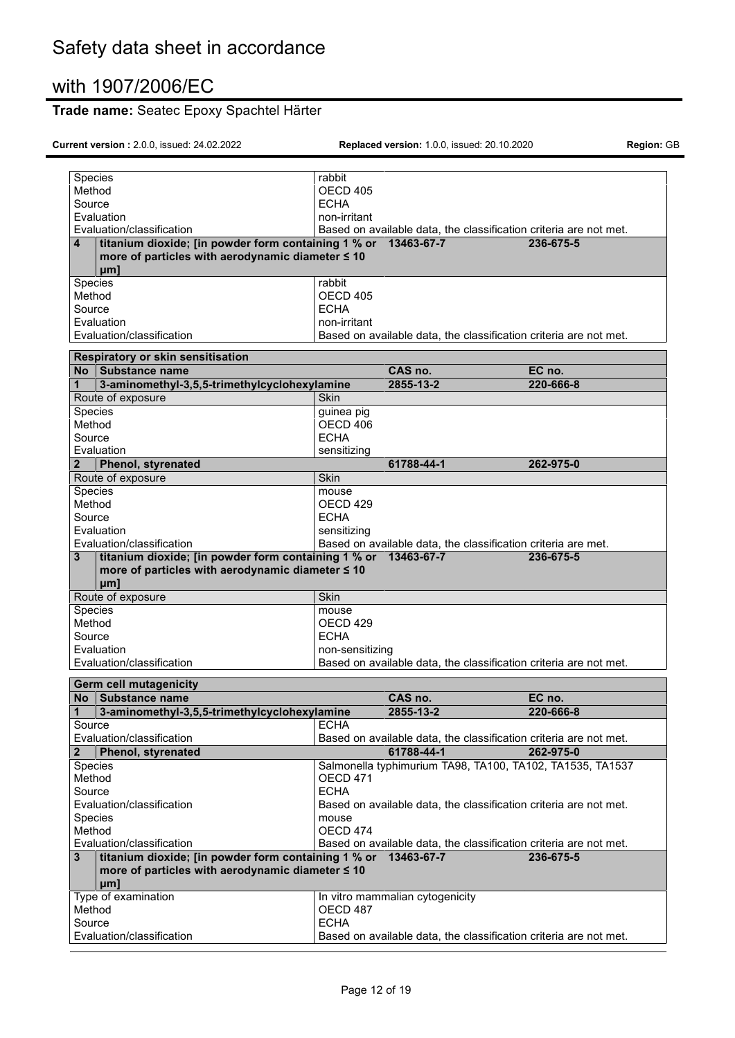# **Trade name:** Seatec Epoxy Spachtel Härter

| Species           |                                                                | rabbit              |                                 |                                                                   |
|-------------------|----------------------------------------------------------------|---------------------|---------------------------------|-------------------------------------------------------------------|
| Method            |                                                                | OECD 405            |                                 |                                                                   |
| Source            |                                                                | <b>ECHA</b>         |                                 |                                                                   |
| Evaluation        |                                                                | non-irritant        |                                 |                                                                   |
|                   | Evaluation/classification                                      |                     |                                 | Based on available data, the classification criteria are not met. |
| 4                 | titanium dioxide; [in powder form containing 1 % or 13463-67-7 |                     |                                 | 236-675-5                                                         |
| µm1               | more of particles with aerodynamic diameter ≤ 10               |                     |                                 |                                                                   |
| Species           |                                                                | rabbit              |                                 |                                                                   |
| Method            |                                                                | OECD 405            |                                 |                                                                   |
| Source            |                                                                | <b>ECHA</b>         |                                 |                                                                   |
| Evaluation        |                                                                | non-irritant        |                                 |                                                                   |
|                   | Evaluation/classification                                      |                     |                                 | Based on available data, the classification criteria are not met. |
|                   | Respiratory or skin sensitisation                              |                     |                                 |                                                                   |
| No.               | Substance name                                                 |                     | CAS no.                         | EC no.                                                            |
| 1                 | 3-aminomethyl-3,5,5-trimethylcyclohexylamine                   |                     | 2855-13-2                       | 220-666-8                                                         |
| Route of exposure |                                                                | <b>Skin</b>         |                                 |                                                                   |
| Species           |                                                                | guinea pig          |                                 |                                                                   |
| Method            |                                                                | OECD 406            |                                 |                                                                   |
| Source            |                                                                | <b>ECHA</b>         |                                 |                                                                   |
| Evaluation        |                                                                | sensitizing         |                                 |                                                                   |
| 2                 | <b>Phenol, styrenated</b>                                      |                     | 61788-44-1                      | 262-975-0                                                         |
| Route of exposure |                                                                | Skin                |                                 |                                                                   |
|                   |                                                                |                     |                                 |                                                                   |
| Species<br>Method |                                                                | mouse               |                                 |                                                                   |
|                   |                                                                | OECD 429            |                                 |                                                                   |
| Source            |                                                                | <b>ECHA</b>         |                                 |                                                                   |
| Evaluation        |                                                                | sensitizing         |                                 |                                                                   |
|                   | Evaluation/classification                                      |                     |                                 | Based on available data, the classification criteria are met.     |
|                   |                                                                |                     |                                 |                                                                   |
| 3                 | titanium dioxide; [in powder form containing 1 % or 13463-67-7 |                     |                                 | 236-675-5                                                         |
| µml               | more of particles with aerodynamic diameter ≤ 10               |                     |                                 |                                                                   |
| Route of exposure |                                                                | Skin                |                                 |                                                                   |
| Species           |                                                                | mouse               |                                 |                                                                   |
| Method            |                                                                | OECD <sub>429</sub> |                                 |                                                                   |
| Source            |                                                                | <b>ECHA</b>         |                                 |                                                                   |
| Evaluation        |                                                                | non-sensitizing     |                                 |                                                                   |
|                   | Evaluation/classification                                      |                     |                                 | Based on available data, the classification criteria are not met. |
|                   | <b>Germ cell mutagenicity</b>                                  |                     |                                 |                                                                   |
| No                | Substance name                                                 |                     | CAS no.                         | EC no.                                                            |
| 1                 | 3-aminomethyl-3,5,5-trimethylcyclohexylamine                   |                     | 2855-13-2                       | 220-666-8                                                         |
| Source            |                                                                | <b>ECHA</b>         |                                 |                                                                   |
|                   | Evaluation/classification                                      |                     |                                 | Based on available data, the classification criteria are not met. |
| $\mathbf{2}$      | <b>Phenol, styrenated</b>                                      |                     | 61788-44-1                      | 262-975-0                                                         |
| Species           |                                                                |                     |                                 | Salmonella typhimurium TA98, TA100, TA102, TA1535, TA1537         |
| Method            |                                                                | OECD 471            |                                 |                                                                   |
| Source            |                                                                | <b>ECHA</b>         |                                 |                                                                   |
|                   | Evaluation/classification                                      |                     |                                 | Based on available data, the classification criteria are not met. |
| Species           |                                                                | mouse               |                                 |                                                                   |
| Method            |                                                                | OECD 474            |                                 |                                                                   |
|                   | Evaluation/classification                                      |                     |                                 | Based on available data, the classification criteria are not met. |
| 3                 | titanium dioxide; [in powder form containing 1 % or 13463-67-7 |                     |                                 | 236-675-5                                                         |
|                   | more of particles with aerodynamic diameter ≤ 10               |                     |                                 |                                                                   |
| µm]               |                                                                |                     |                                 |                                                                   |
|                   | Type of examination                                            |                     | In vitro mammalian cytogenicity |                                                                   |
| Method            |                                                                | OECD 487            |                                 |                                                                   |
| Source            | Evaluation/classification                                      | <b>ECHA</b>         |                                 | Based on available data, the classification criteria are not met. |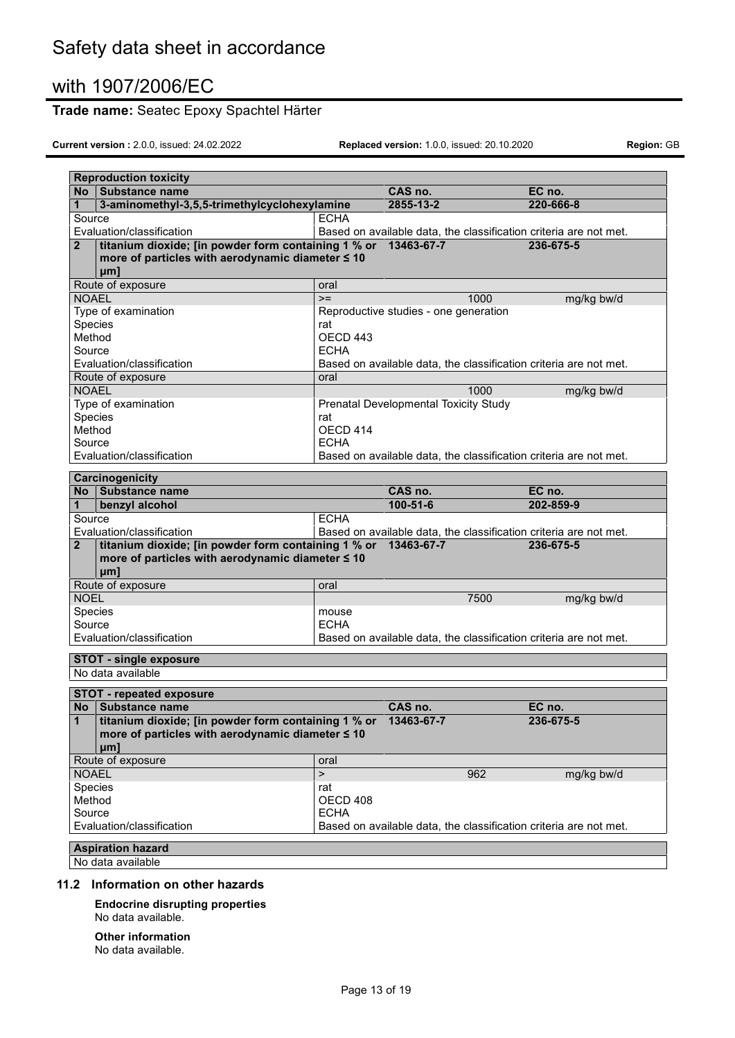# **Trade name:** Seatec Epoxy Spachtel Härter

**Current version :** 2.0.0, issued: 24.02.2022 **Replaced version:** 1.0.0, issued: 20.10.2020 **Region:** GB

| <b>Reproduction toxicity</b>                                                   |                 |                                                                   |            |
|--------------------------------------------------------------------------------|-----------------|-------------------------------------------------------------------|------------|
| No Substance name                                                              |                 | CAS no.                                                           | EC no.     |
| 3-aminomethyl-3,5,5-trimethylcyclohexylamine<br>1                              |                 | 2855-13-2                                                         | 220-666-8  |
| Source                                                                         | <b>ECHA</b>     |                                                                   |            |
| Evaluation/classification                                                      |                 | Based on available data, the classification criteria are not met. |            |
| titanium dioxide; [in powder form containing 1 % or 13463-67-7<br>$\mathbf{2}$ |                 |                                                                   | 236-675-5  |
| more of particles with aerodynamic diameter ≤ 10                               |                 |                                                                   |            |
| uml                                                                            |                 |                                                                   |            |
| Route of exposure                                                              | oral            |                                                                   |            |
| <b>NOAEL</b>                                                                   | $>=$            | 1000                                                              | mg/kg bw/d |
| Type of examination                                                            |                 | Reproductive studies - one generation                             |            |
| Species                                                                        | rat             |                                                                   |            |
| Method                                                                         | OECD 443        |                                                                   |            |
| Source                                                                         | <b>ECHA</b>     |                                                                   |            |
| Evaluation/classification                                                      |                 | Based on available data, the classification criteria are not met. |            |
| Route of exposure                                                              | oral            |                                                                   |            |
| <b>NOAEL</b>                                                                   |                 | 1000                                                              | mg/kg bw/d |
| Type of examination                                                            |                 | Prenatal Developmental Toxicity Study                             |            |
| Species<br>Method                                                              | rat<br>OECD 414 |                                                                   |            |
| Source                                                                         | <b>ECHA</b>     |                                                                   |            |
| Evaluation/classification                                                      |                 | Based on available data, the classification criteria are not met. |            |
|                                                                                |                 |                                                                   |            |
| Carcinogenicity                                                                |                 |                                                                   |            |
| Substance name<br>No                                                           |                 | CAS no.                                                           | EC no.     |
| benzyl alcohol<br>1                                                            |                 | $100 - 51 - 6$                                                    | 202-859-9  |
| Source                                                                         | <b>ECHA</b>     |                                                                   |            |
| Evaluation/classification                                                      |                 | Based on available data, the classification criteria are not met. |            |
| titanium dioxide; [in powder form containing 1 % or 13463-67-7<br>$\mathbf{2}$ |                 |                                                                   | 236-675-5  |
| more of particles with aerodynamic diameter ≤ 10                               |                 |                                                                   |            |
| µm1                                                                            |                 |                                                                   |            |
| Route of exposure                                                              | oral            |                                                                   |            |
| <b>NOEL</b>                                                                    |                 | 7500                                                              | mg/kg bw/d |
| Species                                                                        | mouse           |                                                                   |            |
| Source<br>Evaluation/classification                                            | <b>ECHA</b>     |                                                                   |            |
|                                                                                |                 | Based on available data, the classification criteria are not met. |            |
| <b>STOT - single exposure</b>                                                  |                 |                                                                   |            |
| No data available                                                              |                 |                                                                   |            |
| <b>STOT - repeated exposure</b>                                                |                 |                                                                   |            |
| Substance name<br>No                                                           |                 | CAS no.                                                           | EC no.     |
| titanium dioxide; [in powder form containing 1 % or 13463-67-7                 |                 |                                                                   | 236-675-5  |
| more of particles with aerodynamic diameter $\leq 10$                          |                 |                                                                   |            |
| µm1                                                                            |                 |                                                                   |            |
| Route of exposure                                                              | oral            |                                                                   |            |
| <b>NOAEL</b>                                                                   | $\overline{ }$  | 962                                                               | mg/kg bw/d |
| Species                                                                        | rat             |                                                                   |            |
| Method                                                                         | OECD 408        |                                                                   |            |
| Source                                                                         | <b>ECHA</b>     |                                                                   |            |
| Evaluation/classification                                                      |                 | Based on available data, the classification criteria are not met. |            |
| <b>Aspiration hazard</b>                                                       |                 |                                                                   |            |
| No data available                                                              |                 |                                                                   |            |
|                                                                                |                 |                                                                   |            |

### **11.2 Information on other hazards**

**Endocrine disrupting properties** No data available.

#### **Other information** No data available.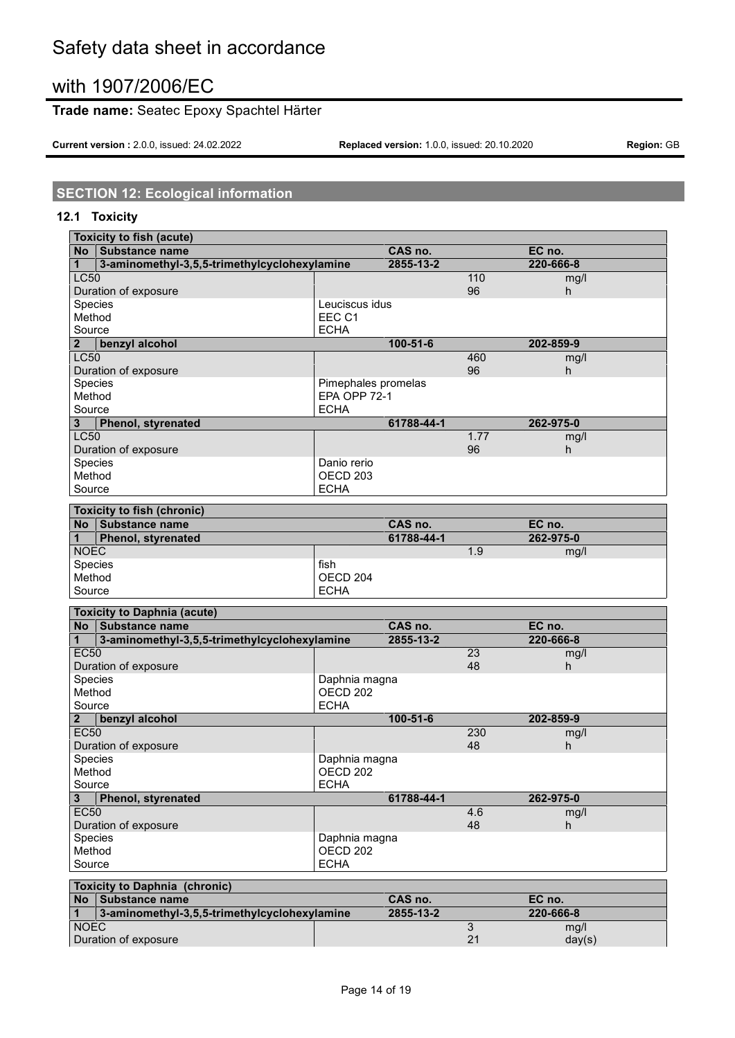# Safety data sheet in accordance

# with 1907/2006/EC

### **Trade name:** Seatec Epoxy Spachtel Härter

**Current version :** 2.0.0, issued: 24.02.2022 **Replaced version:** 1.0.0, issued: 20.10.2020 **Region:** GB

# **SECTION 12: Ecological information**

### **12.1 Toxicity**

| <b>Toxicity to fish (acute)</b>                   |                     |                |                |           |
|---------------------------------------------------|---------------------|----------------|----------------|-----------|
| No Substance name                                 |                     | CAS no.        |                | EC no.    |
| 3-aminomethyl-3,5,5-trimethylcyclohexylamine<br>1 |                     | 2855-13-2      |                | 220-666-8 |
| <b>LC50</b>                                       |                     |                | 110            | mg/l      |
| Duration of exposure                              |                     |                | 96             | h.        |
| Species                                           | Leuciscus idus      |                |                |           |
| Method                                            | EEC C1              |                |                |           |
| Source                                            | <b>ECHA</b>         |                |                |           |
| benzyl alcohol<br>$\overline{\mathbf{2}}$         |                     | $100 - 51 - 6$ |                | 202-859-9 |
| <b>LC50</b>                                       |                     |                | 460            | mg/l      |
| Duration of exposure                              |                     |                | 96             | h.        |
| Species                                           | Pimephales promelas |                |                |           |
| Method                                            | EPA OPP 72-1        |                |                |           |
| Source                                            | <b>ECHA</b>         |                |                |           |
| 3<br>Phenol, styrenated                           |                     | 61788-44-1     |                | 262-975-0 |
| <b>LC50</b>                                       |                     |                | 1.77           | mg/l      |
| Duration of exposure                              |                     |                | 96             | h         |
| Species                                           | Danio rerio         |                |                |           |
| Method                                            | OECD <sub>203</sub> |                |                |           |
| Source                                            | <b>ECHA</b>         |                |                |           |
| <b>Toxicity to fish (chronic)</b>                 |                     |                |                |           |
| No Substance name                                 |                     | CAS no.        |                | EC no.    |
| Phenol, styrenated<br>1                           |                     | 61788-44-1     |                | 262-975-0 |
| <b>NOEC</b>                                       |                     |                | 1.9            | mg/l      |
| Species                                           | fish                |                |                |           |
| Method                                            | OECD <sub>204</sub> |                |                |           |
| Source                                            | <b>ECHA</b>         |                |                |           |
| <b>Toxicity to Daphnia (acute)</b>                |                     |                |                |           |
| Substance name<br>No                              |                     | CAS no.        |                | EC no.    |
| 3-aminomethyl-3,5,5-trimethylcyclohexylamine<br>1 |                     | 2855-13-2      |                | 220-666-8 |
| <b>EC50</b>                                       |                     |                | 23             | mg/l      |
| Duration of exposure                              |                     |                | 48             | h         |
| Species                                           | Daphnia magna       |                |                |           |
| Method                                            | OECD <sub>202</sub> |                |                |           |
| Source                                            | <b>ECHA</b>         |                |                |           |
| benzyl alcohol<br>$\mathbf{2}$                    |                     | $100 - 51 - 6$ |                | 202-859-9 |
| <b>EC50</b>                                       |                     |                | 230            | mg/l      |
| Duration of exposure                              |                     |                | 48             | h         |
| Species                                           | Daphnia magna       |                |                |           |
| Method                                            | OECD <sub>202</sub> |                |                |           |
| Source                                            | <b>ECHA</b>         |                |                |           |
| Phenol, styrenated<br>3                           |                     | 61788-44-1     |                | 262-975-0 |
| <b>EC50</b>                                       |                     |                | 4.6            | mg/l      |
| Duration of exposure                              |                     |                | 48             | h.        |
| Species                                           | Daphnia magna       |                |                |           |
| Method                                            | OECD <sub>202</sub> |                |                |           |
| Source                                            | <b>ECHA</b>         |                |                |           |
|                                                   |                     |                |                |           |
| <b>Toxicity to Daphnia (chronic)</b>              |                     |                |                |           |
| No Substance name                                 |                     | CAS no.        |                | EC no.    |
| 3-aminomethyl-3,5,5-trimethylcyclohexylamine<br>1 |                     | 2855-13-2      |                | 220-666-8 |
| <b>NOEC</b>                                       |                     |                | $\overline{3}$ | mg/l      |
| Duration of exposure                              |                     |                | 21             | day(s)    |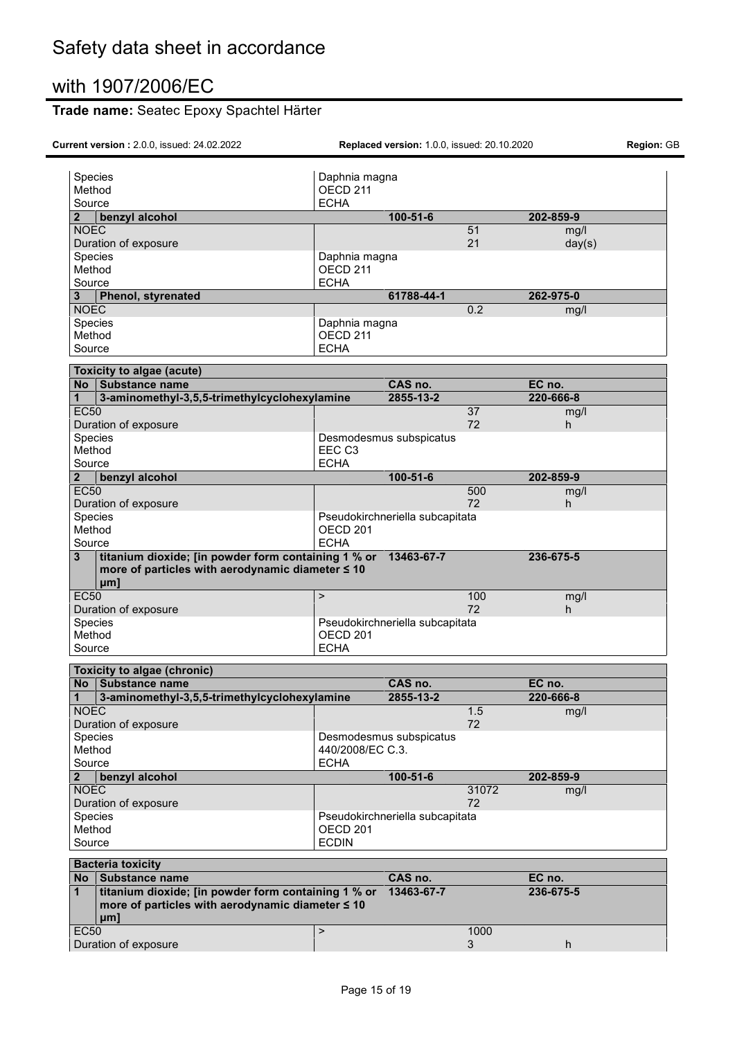### **Trade name:** Seatec Epoxy Spachtel Härter

**Current version :** 2.0.0, issued: 24.02.2022 **Replaced version:** 1.0.0, issued: 20.10.2020 **Region:** GB

| Species<br>Method                                                   | Daphnia magna<br>OECD <sub>211</sub> |                                 |                 |                     |  |
|---------------------------------------------------------------------|--------------------------------------|---------------------------------|-----------------|---------------------|--|
| Source                                                              | <b>ECHA</b>                          |                                 |                 |                     |  |
| $\overline{2}$<br>benzyl alcohol                                    |                                      | $100 - 51 - 6$                  |                 | 202-859-9           |  |
| <b>NOEC</b>                                                         |                                      |                                 | 51              | mg/l                |  |
| Duration of exposure                                                |                                      |                                 | 21              | day(s)              |  |
| Species                                                             | Daphnia magna                        |                                 |                 |                     |  |
| Method                                                              | OECD <sub>211</sub>                  |                                 |                 |                     |  |
| Source                                                              | <b>ECHA</b>                          |                                 |                 |                     |  |
| Phenol, styrenated<br>3                                             |                                      | 61788-44-1                      |                 | 262-975-0           |  |
| <b>NOEC</b>                                                         |                                      |                                 | 0.2             | mg/l                |  |
| Species                                                             | Daphnia magna                        |                                 |                 |                     |  |
| Method                                                              | OECD <sub>211</sub>                  |                                 |                 |                     |  |
| Source                                                              | <b>ECHA</b>                          |                                 |                 |                     |  |
| Toxicity to algae (acute)                                           |                                      |                                 |                 |                     |  |
| No Substance name                                                   |                                      | CAS no.                         |                 | EC no.              |  |
| 3-aminomethyl-3,5,5-trimethylcyclohexylamine<br>1                   |                                      | 2855-13-2                       |                 | 220-666-8           |  |
| <b>EC50</b>                                                         |                                      |                                 | $\overline{37}$ | mg/l                |  |
| Duration of exposure                                                |                                      |                                 | 72              | h                   |  |
| Species                                                             |                                      | Desmodesmus subspicatus         |                 |                     |  |
| Method                                                              | EEC C <sub>3</sub>                   |                                 |                 |                     |  |
| Source                                                              | <b>ECHA</b>                          |                                 |                 |                     |  |
| benzyl alcohol<br>$\overline{\mathbf{2}}$                           |                                      | $100 - 51 - 6$                  |                 | 202-859-9           |  |
| <b>EC50</b>                                                         |                                      |                                 | 500<br>72       | mg/l                |  |
| Duration of exposure<br>Species                                     |                                      | Pseudokirchneriella subcapitata |                 | h                   |  |
| Method                                                              | OECD <sub>201</sub>                  |                                 |                 |                     |  |
| Source                                                              | <b>ECHA</b>                          |                                 |                 |                     |  |
| titanium dioxide; [in powder form containing 1 % or 13463-67-7<br>3 |                                      |                                 |                 | 236-675-5           |  |
|                                                                     |                                      |                                 |                 |                     |  |
| more of particles with aerodynamic diameter ≤ 10                    |                                      |                                 |                 |                     |  |
| µm]<br><b>EC50</b>                                                  | $\geq$                               |                                 | 100             |                     |  |
| Duration of exposure                                                |                                      |                                 | 72              | mg/l<br>h           |  |
| Species                                                             |                                      | Pseudokirchneriella subcapitata |                 |                     |  |
| Method                                                              | OECD <sub>201</sub>                  |                                 |                 |                     |  |
| Source                                                              | <b>ECHA</b>                          |                                 |                 |                     |  |
|                                                                     |                                      |                                 |                 |                     |  |
| <b>Toxicity to algae (chronic)</b><br>No                            |                                      |                                 |                 |                     |  |
| Substance name<br>1                                                 |                                      | CAS no.<br>2855-13-2            |                 | EC no.<br>220-666-8 |  |
| 3-aminomethyl-3,5,5-trimethylcyclohexylamine                        |                                      |                                 |                 |                     |  |
| <b>NOEC</b><br>Duration of exposure                                 |                                      |                                 | 1.5<br>72       | mg/l                |  |
| Species                                                             |                                      | Desmodesmus subspicatus         |                 |                     |  |
| Method                                                              | 440/2008/EC C.3.                     |                                 |                 |                     |  |
| Source                                                              | <b>ECHA</b>                          |                                 |                 |                     |  |
| $\overline{2}$<br>benzyl alcohol                                    |                                      | $100 - 51 - 6$                  |                 | 202-859-9           |  |
| <b>NOEC</b>                                                         |                                      |                                 | 31072           | mg/l                |  |
| Duration of exposure                                                |                                      |                                 | 72              |                     |  |
| Species                                                             |                                      | Pseudokirchneriella subcapitata |                 |                     |  |
| Method                                                              | OECD <sub>201</sub>                  |                                 |                 |                     |  |
| Source                                                              | <b>ECDIN</b>                         |                                 |                 |                     |  |
| <b>Bacteria toxicity</b>                                            |                                      |                                 |                 |                     |  |
| No Substance name                                                   |                                      | CAS no.                         |                 | EC no.              |  |
| titanium dioxide; [in powder form containing 1 % or<br>1            |                                      | 13463-67-7                      |                 | 236-675-5           |  |
| more of particles with aerodynamic diameter ≤ 10                    |                                      |                                 |                 |                     |  |
| µm]<br><b>EC50</b>                                                  | $\, >$                               |                                 | 1000            |                     |  |

Duration of exposure 3 https://www.industrial.com/second-second-second-second-second-second-second-second-second-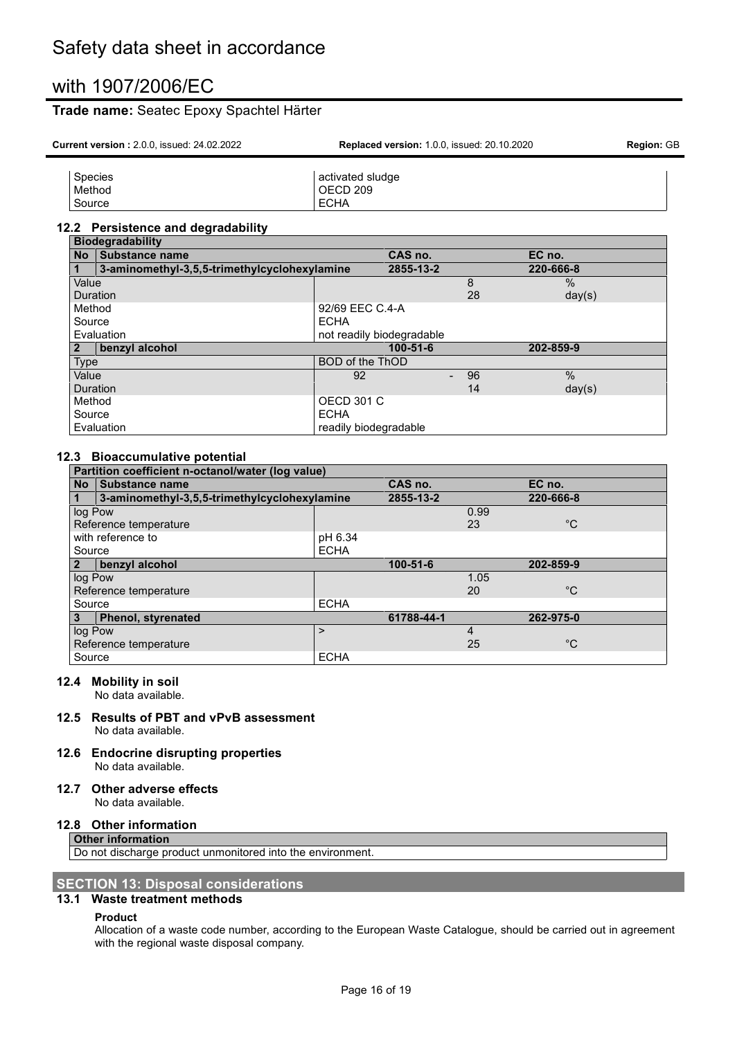### **Trade name:** Seatec Epoxy Spachtel Härter

Source ECHA

| <b>Current version: 2.0.0. issued: 24.02.2022</b> | <b>Replaced version: 1.0.0, issued: 20.10.2020</b> | <b>Region: GB</b> |  |
|---------------------------------------------------|----------------------------------------------------|-------------------|--|
|                                                   |                                                    |                   |  |
| Species                                           | activated sludge                                   |                   |  |
| Method                                            | OECD 209                                           |                   |  |

#### **12.2 Persistence and degradability**

|                 | <b>Biodegradability</b>                      |                           |    |               |  |
|-----------------|----------------------------------------------|---------------------------|----|---------------|--|
| <b>No</b>       | Substance name                               | CAS no.                   |    | EC no.        |  |
|                 | 3-aminomethyl-3,5,5-trimethylcyclohexylamine | 2855-13-2                 |    | 220-666-8     |  |
| Value           |                                              |                           | 8  | $\%$          |  |
| <b>Duration</b> |                                              |                           | 28 | day(s)        |  |
| Method          |                                              | 92/69 EEC C.4-A           |    |               |  |
| Source          |                                              | <b>ECHA</b>               |    |               |  |
|                 | Evaluation                                   | not readily biodegradable |    |               |  |
|                 | benzyl alcohol                               | $100 - 51 - 6$            |    | 202-859-9     |  |
| Type            |                                              | <b>BOD of the ThOD</b>    |    |               |  |
| Value           |                                              | 92                        | 96 | $\frac{0}{0}$ |  |
| Duration        |                                              |                           | 14 | day(s)        |  |
| Method          |                                              | <b>OECD 301 C</b>         |    |               |  |
| Source          |                                              | <b>ECHA</b>               |    |               |  |
|                 | Evaluation                                   | readily biodegradable     |    |               |  |

#### **12.3 Bioaccumulative potential**

| Partition coefficient n-octanol/water (log value) |                                              |             |            |      |              |  |
|---------------------------------------------------|----------------------------------------------|-------------|------------|------|--------------|--|
| <b>No</b>                                         | Substance name                               |             | CAS no.    |      | EC no.       |  |
|                                                   | 3-aminomethyl-3,5,5-trimethylcyclohexylamine |             | 2855-13-2  |      | 220-666-8    |  |
| log Pow                                           |                                              |             |            | 0.99 |              |  |
|                                                   | Reference temperature                        |             |            | 23   | $^{\circ}C$  |  |
|                                                   | with reference to                            | pH 6.34     |            |      |              |  |
| Source                                            |                                              | <b>ECHA</b> |            |      |              |  |
| $\mathbf{2}$                                      | benzyl alcohol                               |             | 100-51-6   |      | 202-859-9    |  |
| log Pow                                           |                                              |             |            | 1.05 |              |  |
|                                                   | Reference temperature                        |             |            | 20   | $^{\circ}C$  |  |
| Source                                            |                                              | <b>ECHA</b> |            |      |              |  |
| 3                                                 | <b>Phenol, styrenated</b>                    |             | 61788-44-1 |      | 262-975-0    |  |
| log Pow                                           |                                              | ⋗           |            | 4    |              |  |
|                                                   | Reference temperature                        |             |            | 25   | $^{\circ}$ C |  |
| Source                                            |                                              | <b>ECHA</b> |            |      |              |  |

#### **12.4 Mobility in soil**

No data available.

#### **12.5 Results of PBT and vPvB assessment** No data available.

#### **12.6 Endocrine disrupting properties** No data available.

#### **12.7 Other adverse effects**

No data available.

#### **12.8 Other information**

**Other information** Do not discharge product unmonitored into the environment.

#### **SECTION 13: Disposal considerations 13.1 Waste treatment methods**

#### **Product**

Allocation of a waste code number, according to the European Waste Catalogue, should be carried out in agreement with the regional waste disposal company.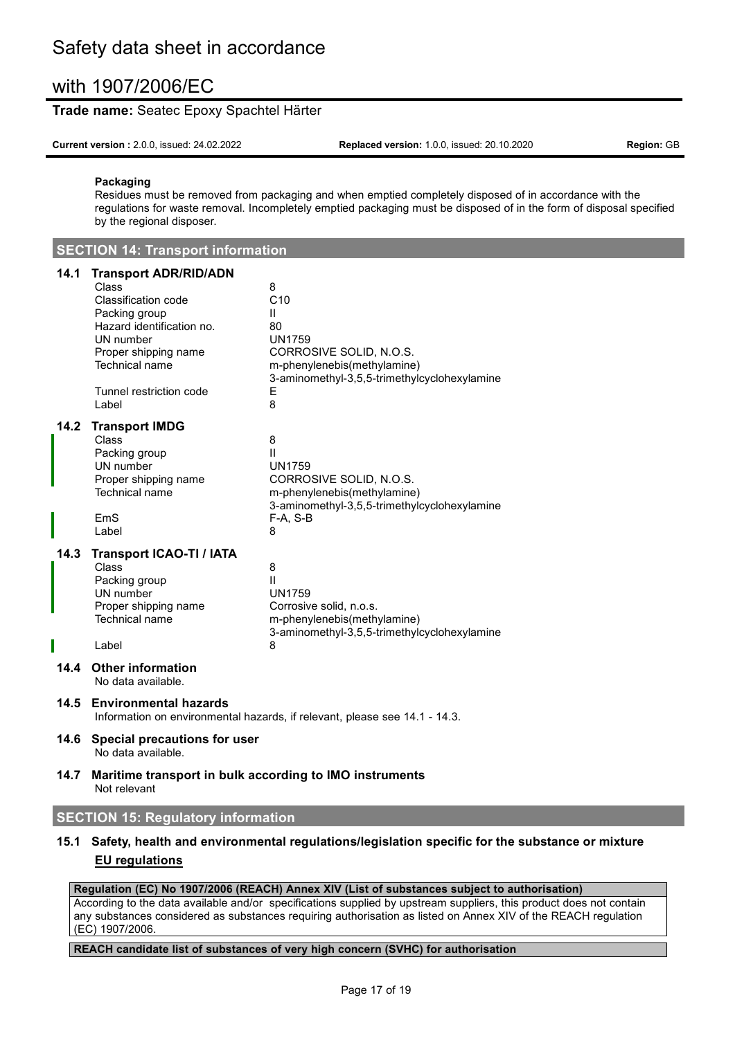#### **Trade name:** Seatec Epoxy Spachtel Härter

**Current version :** 2.0.0, issued: 24.02.2022 **Replaced version:** 1.0.0, issued: 20.10.2020 **Region:** GB

#### **Packaging**

Residues must be removed from packaging and when emptied completely disposed of in accordance with the regulations for waste removal. Incompletely emptied packaging must be disposed of in the form of disposal specified by the regional disposer.

| <b>SECTION 14: Transport information</b> |  |
|------------------------------------------|--|
|------------------------------------------|--|

#### **14.1 Transport ADR/RID/ADN**

| 14. I | <b>Hallsport ADR/RID/ADN</b>                            |                                                                             |
|-------|---------------------------------------------------------|-----------------------------------------------------------------------------|
|       | Class<br>Classification code                            | 8<br>C10                                                                    |
|       |                                                         |                                                                             |
|       | Packing group<br>Hazard identification no.              | $\mathbf{H}$                                                                |
|       |                                                         | 80                                                                          |
|       | UN number                                               | <b>UN1759</b>                                                               |
|       | Proper shipping name                                    | CORROSIVE SOLID, N.O.S.                                                     |
|       | Technical name                                          | m-phenylenebis(methylamine)<br>3-aminomethyl-3,5,5-trimethylcyclohexylamine |
|       | Tunnel restriction code                                 | Е                                                                           |
|       | Label                                                   | 8                                                                           |
| 14.2  | <b>Transport IMDG</b>                                   |                                                                             |
|       | Class                                                   | 8                                                                           |
|       | Packing group                                           | $\mathbf{H}$                                                                |
|       | UN number                                               | <b>UN1759</b>                                                               |
|       | Proper shipping name                                    | CORROSIVE SOLID, N.O.S.                                                     |
|       | Technical name                                          | m-phenylenebis(methylamine)                                                 |
|       |                                                         | 3-aminomethyl-3,5,5-trimethylcyclohexylamine                                |
|       | EmS                                                     | $F-A, S-B$                                                                  |
|       | Label                                                   | 8                                                                           |
| 14.3  | <b>Transport ICAO-TI / IATA</b>                         |                                                                             |
|       | Class                                                   | 8                                                                           |
|       | Packing group                                           | $\mathbf{H}$                                                                |
|       | UN number                                               | <b>UN1759</b>                                                               |
|       | Proper shipping name                                    | Corrosive solid, n.o.s.                                                     |
|       | Technical name                                          | m-phenylenebis(methylamine)                                                 |
|       |                                                         | 3-aminomethyl-3,5,5-trimethylcyclohexylamine                                |
|       | Label                                                   | 8                                                                           |
| 14.4  | <b>Other information</b><br>No data available.          |                                                                             |
| 14.5  | <b>Environmental hazards</b>                            | Information on environmental hazards, if relevant, please see 14.1 - 14.3.  |
| 14.6  | Special precautions for user<br>No data available.      |                                                                             |
| 14.7  | Maritime transport in bulk according to IMO instruments |                                                                             |

Not relevant

### **SECTION 15: Regulatory information**

### **15.1 Safety, health and environmental regulations/legislation specific for the substance or mixture EU regulations**

#### **Regulation (EC) No 1907/2006 (REACH) Annex XIV (List of substances subject to authorisation)**

According to the data available and/or specifications supplied by upstream suppliers, this product does not contain any substances considered as substances requiring authorisation as listed on Annex XIV of the REACH regulation (EC) 1907/2006.

#### **REACH candidate list of substances of very high concern (SVHC) for authorisation**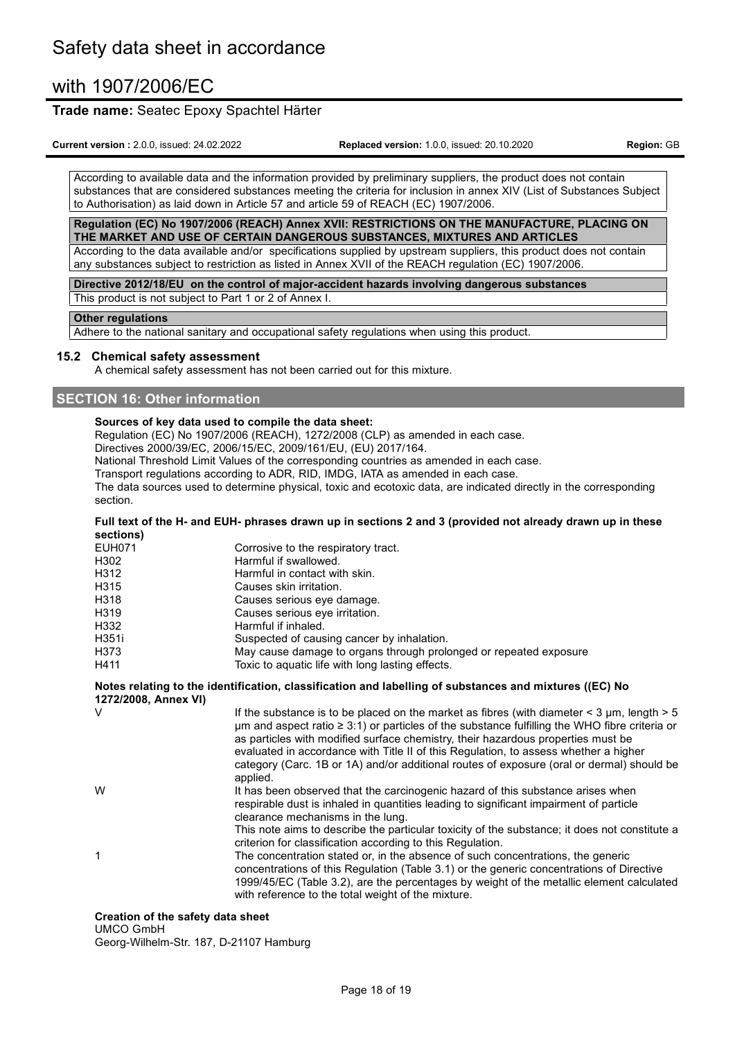#### **Trade name:** Seatec Epoxy Spachtel Härter

**Current version :** 2.0.0, issued: 24.02.2022 **Replaced version:** 1.0.0, issued: 20.10.2020 **Region:** GB

According to available data and the information provided by preliminary suppliers, the product does not contain substances that are considered substances meeting the criteria for inclusion in annex XIV (List of Substances Subject to Authorisation) as laid down in Article 57 and article 59 of REACH (EC) 1907/2006.

**Regulation (EC) No 1907/2006 (REACH) Annex XVII: RESTRICTIONS ON THE MANUFACTURE, PLACING ON THE MARKET AND USE OF CERTAIN DANGEROUS SUBSTANCES, MIXTURES AND ARTICLES** According to the data available and/or specifications supplied by upstream suppliers, this product does not contain

any substances subject to restriction as listed in Annex XVII of the REACH regulation (EC) 1907/2006.

**Directive 2012/18/EU on the control of major-accident hazards involving dangerous substances**

This product is not subject to Part 1 or 2 of Annex I.

#### **Other regulations**

Adhere to the national sanitary and occupational safety regulations when using this product.

#### **15.2 Chemical safety assessment**

A chemical safety assessment has not been carried out for this mixture.

#### **SECTION 16: Other information**

#### **Sources of key data used to compile the data sheet:**

Regulation (EC) No 1907/2006 (REACH), 1272/2008 (CLP) as amended in each case.

Directives 2000/39/EC, 2006/15/EC, 2009/161/EU, (EU) 2017/164.

National Threshold Limit Values of the corresponding countries as amended in each case.

Transport regulations according to ADR, RID, IMDG, IATA as amended in each case.

The data sources used to determine physical, toxic and ecotoxic data, are indicated directly in the corresponding section.

#### Full text of the H- and EUH- phrases drawn up in sections 2 and 3 (provided not already drawn up in these **sections)**

| EUH071 | Corrosive to the respiratory tract.                                                                    |
|--------|--------------------------------------------------------------------------------------------------------|
| H302   | Harmful if swallowed.                                                                                  |
| H312   | Harmful in contact with skin.                                                                          |
| H315   | Causes skin irritation.                                                                                |
| H318   | Causes serious eye damage.                                                                             |
| H319   | Causes serious eye irritation.                                                                         |
| H332   | Harmful if inhaled.                                                                                    |
| H351i  | Suspected of causing cancer by inhalation.                                                             |
| H373   | May cause damage to organs through prolonged or repeated exposure                                      |
| H411   | Toxic to aquatic life with long lasting effects.                                                       |
|        | Notes relating to the identification, classification and labelling of substances and mixtures ((EC) No |

#### **Notes relating to the identification, classification and labelling of substances and mixtures ((EC) No 1272/2008, Annex VI)** If the substance is to be placed on the market as fibres (with diameter  $\leq$  3 µm, length  $>$  5  $\mu$ m and aspect ratio  $\geq 3:1$ ) or particles of the substance fulfilling the WHO fibre criteria or as particles with modified surface chemistry, their hazardous properties must be evaluated in accordance with Title II of this Regulation, to assess whether a higher category (Carc. 1B or 1A) and/or additional routes of exposure (oral or dermal) should be applied. W **It has been observed that the carcinogenic hazard of this substance arises when** respirable dust is inhaled in quantities leading to significant impairment of particle clearance mechanisms in the lung. This note aims to describe the particular toxicity of the substance; it does not constitute a criterion for classification according to this Regulation. 1 The concentration stated or, in the absence of such concentrations, the generic concentrations of this Regulation (Table 3.1) or the generic concentrations of Directive 1999/45/EC (Table 3.2), are the percentages by weight of the metallic element calculated with reference to the total weight of the mixture.

### **Creation of the safety data sheet**

UMCO GmbH

Georg-Wilhelm-Str. 187, D-21107 Hamburg